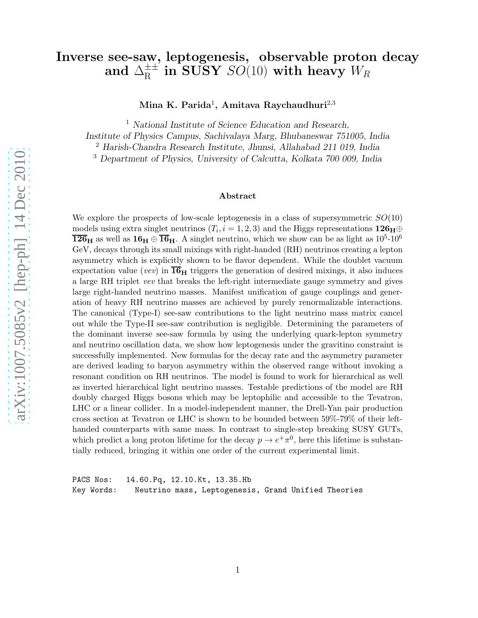### Inverse see-saw, leptogenesis, observable proton decay and  $\Delta^\pm_\mathrm{R}$  $_{\rm R}^{\pm\pm}$  in SUSY  $SO(10)$  with heavy  $W_R$

Mina K. Parida<sup>1</sup>, Amitava Raychaudhuri<sup>2,3</sup>

<sup>1</sup> National Institute of Science Education and Research,

Institute of Physics Campus, Sachivalaya Marg, Bhubaneswar 751005, India

<sup>2</sup> Harish-Chandra Research Institute, Jhunsi, Allahabad 211 019, India

<sup>3</sup> Department of Physics, University of Calcutta, Kolkata 700 009, India

#### Abstract

We explore the prospects of low-scale leptogenesis in a class of supersymmetric  $SO(10)$ models using extra singlet neutrinos  $(T_i, i = 1, 2, 3)$  and the Higgs representations  $126_H \oplus$  $126<sub>H</sub>$  as well as  $16<sub>H</sub> \oplus \overline{16}<sub>H</sub>$ . A singlet neutrino, which we show can be as light as  $10<sup>5</sup>$ -10<sup>6</sup> GeV, decays through its small mixings with right-handed (RH) neutrinos creating a lepton asymmetry which is explicitly shown to be flavor dependent. While the doublet vacuum expectation value (vev) in  $\overline{\mathbf{16}}_{\mathbf{H}}$  triggers the generation of desired mixings, it also induces a large RH triplet vev that breaks the left-right intermediate gauge symmetry and gives large right-handed neutrino masses. Manifest unification of gauge couplings and generation of heavy RH neutrino masses are achieved by purely renormalizable interactions. The canonical (Type-I) see-saw contributions to the light neutrino mass matrix cancel out while the Type-II see-saw contribution is negligible. Determining the parameters of the dominant inverse see-saw formula by using the underlying quark-lepton symmetry and neutrino oscillation data, we show how leptogenesis under the gravitino constraint is successfully implemented. New formulas for the decay rate and the asymmetry parameter are derived leading to baryon asymmetry within the observed range without invoking a resonant condition on RH neutrinos. The model is found to work for hierarchical as well as inverted hierarchical light neutrino masses. Testable predictions of the model are RH doubly charged Higgs bosons which may be leptophilic and accessible to the Tevatron, LHC or a linear collider. In a model-independent manner, the Drell-Yan pair production cross section at Tevatron or LHC is shown to be bounded between 59%-79% of their lefthanded counterparts with same mass. In contrast to single-step breaking SUSY GUTs, which predict a long proton lifetime for the decay  $p \to e^+ \pi^0$ , here this lifetime is substantially reduced, bringing it within one order of the current experimental limit.

PACS Nos: 14.60.Pq, 12.10.Kt, 13.35.Hb Key Words: Neutrino mass, Leptogenesis, Grand Unified Theories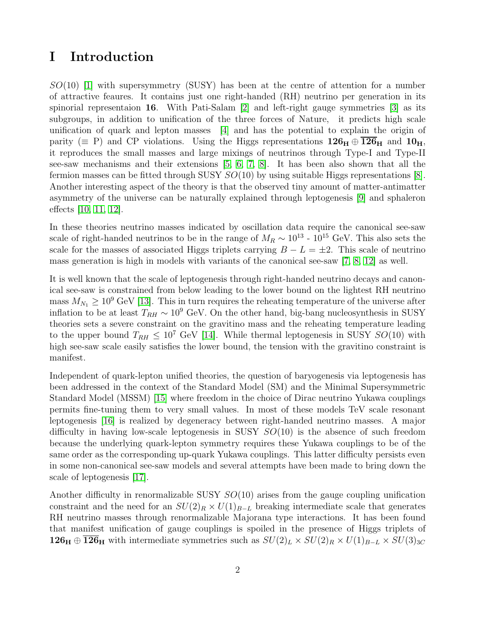# I Introduction

 $SO(10)$  [\[1\]](#page-20-0) with supersymmetry (SUSY) has been at the centre of attention for a number of attractive feaures. It contains just one right-handed (RH) neutrino per generation in its spinorial representaion 16. With Pati-Salam [\[2\]](#page-20-1) and left-right gauge symmetries [\[3\]](#page-20-2) as its subgroups, in addition to unification of the three forces of Nature, it predicts high scale unification of quark and lepton masses [\[4\]](#page-20-3) and has the potential to explain the origin of parity ( $\equiv$  P) and CP violations. Using the Higgs representations  $126_H \oplus 126_H$  and  $10_H$ , it reproduces the small masses and large mixings of neutrinos through Type-I and Type-II see-saw mechanisms and their extensions [\[5,](#page-20-4) [6,](#page-20-5) [7,](#page-20-6) [8\]](#page-20-7). It has been also shown that all the fermion masses can be fitted through SUSY  $SO(10)$  by using suitable Higgs representations [\[8\]](#page-20-7). Another interesting aspect of the theory is that the observed tiny amount of matter-antimatter asymmetry of the universe can be naturally explained through leptogenesis [\[9\]](#page-20-8) and sphaleron effects [\[10,](#page-20-9) [11,](#page-20-10) [12\]](#page-20-11).

In these theories neutrino masses indicated by oscillation data require the canonical see-saw scale of right-handed neutrinos to be in the range of  $M_R \sim 10^{13}$  -  $10^{15}$  GeV. This also sets the scale for the masses of associated Higgs triplets carrying  $B - L = \pm 2$ . This scale of neutrino mass generation is high in models with variants of the canonical see-saw [\[7,](#page-20-6) [8,](#page-20-7) [12\]](#page-20-11) as well.

It is well known that the scale of leptogenesis through right-handed neutrino decays and canonical see-saw is constrained from below leading to the lower bound on the lightest RH neutrino mass  $M_{N_1} \geq 10^9$  GeV [\[13\]](#page-20-12). This in turn requires the reheating temperature of the universe after inflation to be at least  $T_{RH} \sim 10^9$  GeV. On the other hand, big-bang nucleosynthesis in SUSY theories sets a severe constraint on the gravitino mass and the reheating temperature leading to the upper bound  $T_{RH} \leq 10^7$  GeV [\[14\]](#page-20-13). While thermal leptogenesis in SUSY  $SO(10)$  with high see-saw scale easily satisfies the lower bound, the tension with the gravitino constraint is manifest.

Independent of quark-lepton unified theories, the question of baryogenesis via leptogenesis has been addressed in the context of the Standard Model (SM) and the Minimal Supersymmetric Standard Model (MSSM) [\[15\]](#page-21-0) where freedom in the choice of Dirac neutrino Yukawa couplings permits fine-tuning them to very small values. In most of these models TeV scale resonant leptogenesis [\[16\]](#page-21-1) is realized by degeneracy between right-handed neutrino masses. A major difficulty in having low-scale leptogenesis in SUSY  $SO(10)$  is the absence of such freedom because the underlying quark-lepton symmetry requires these Yukawa couplings to be of the same order as the corresponding up-quark Yukawa couplings. This latter difficulty persists even in some non-canonical see-saw models and several attempts have been made to bring down the scale of leptogenesis [\[17\]](#page-21-2).

Another difficulty in renormalizable SUSY  $SO(10)$  arises from the gauge coupling unification constraint and the need for an  $SU(2)_R \times U(1)_{B-L}$  breaking intermediate scale that generates RH neutrino masses through renormalizable Majorana type interactions. It has been found that manifest unification of gauge couplings is spoiled in the presence of Higgs triplets of  $126_H \oplus \overline{126}_H$  with intermediate symmetries such as  $SU(2)_L \times SU(2)_R \times U(1)_{B-L} \times SU(3)_{3C}$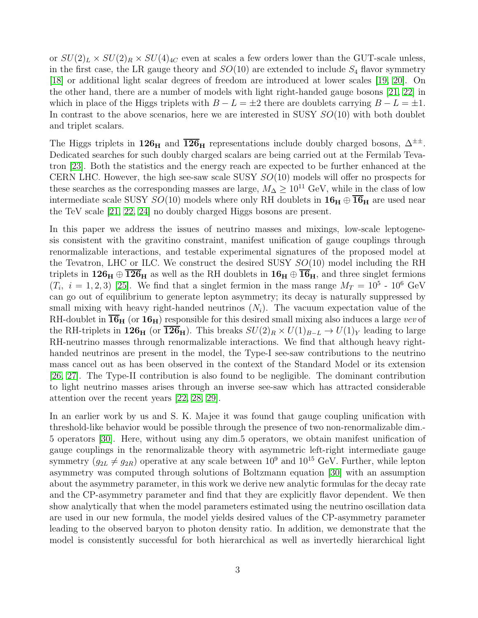or  $SU(2)_L \times SU(2)_R \times SU(4)_{4C}$  even at scales a few orders lower than the GUT-scale unless, in the first case, the LR gauge theory and  $SO(10)$  are extended to include  $S_4$  flavor symmetry [\[18\]](#page-21-3) or additional light scalar degrees of freedom are introduced at lower scales [\[19,](#page-21-4) [20\]](#page-21-5). On the other hand, there are a number of models with light right-handed gauge bosons [\[21,](#page-21-6) [22\]](#page-21-7) in which in place of the Higgs triplets with  $B - L = \pm 2$  there are doublets carrying  $B - L = \pm 1$ . In contrast to the above scenarios, here we are interested in SUSY SO(10) with both doublet and triplet scalars.

The Higgs triplets in  $126_H$  and  $\overline{126}_H$  representations include doubly charged bosons,  $\Delta^{\pm\pm}$ . Dedicated searches for such doubly charged scalars are being carried out at the Fermilab Tevatron [\[23\]](#page-21-8). Both the statistics and the energy reach are expected to be further enhanced at the CERN LHC. However, the high see-saw scale SUSY  $SO(10)$  models will offer no prospects for these searches as the corresponding masses are large,  $M_{\Delta} \geq 10^{11}$  GeV, while in the class of low intermediate scale SUSY  $SO(10)$  models where only RH doublets in  $16_H \oplus \overline{16}_H$  are used near the TeV scale [\[21,](#page-21-6) [22,](#page-21-7) [24\]](#page-21-9) no doubly charged Higgs bosons are present.

In this paper we address the issues of neutrino masses and mixings, low-scale leptogenesis consistent with the gravitino constraint, manifest unification of gauge couplings through renormalizable interactions, and testable experimental signatures of the proposed model at the Tevatron, LHC or ILC. We construct the desired SUSY SO(10) model including the RH triplets in  $126_H \oplus \overline{126}_H$  as well as the RH doublets in  $16_H \oplus \overline{16}_H$ , and three singlet fermions  $(T_i, i = 1, 2, 3)$  [\[25\]](#page-21-10). We find that a singlet fermion in the mass range  $M_T = 10^5$  -  $10^6$  GeV can go out of equilibrium to generate lepton asymmetry; its decay is naturally suppressed by small mixing with heavy right-handed neutrinos  $(N_i)$ . The vacuum expectation value of the RH-doublet in  $\overline{\mathbf{16}}_{\mathbf{H}}$  (or  $\mathbf{16}_{\mathbf{H}}$ ) responsible for this desired small mixing also induces a large vev of the RH-triplets in 126<sub>H</sub> (or  $\overline{126}_H$ ). This breaks  $SU(2)_R \times U(1)_{B-L} \to U(1)_Y$  leading to large RH-neutrino masses through renormalizable interactions. We find that although heavy righthanded neutrinos are present in the model, the Type-I see-saw contributions to the neutrino mass cancel out as has been observed in the context of the Standard Model or its extension [\[26,](#page-21-11) [27\]](#page-21-12). The Type-II contribution is also found to be negligible. The dominant contribution to light neutrino masses arises through an inverse see-saw which has attracted considerable attention over the recent years [\[22,](#page-21-7) [28,](#page-21-13) [29\]](#page-21-14).

In an earlier work by us and S. K. Majee it was found that gauge coupling unification with threshold-like behavior would be possible through the presence of two non-renormalizable dim.- 5 operators [\[30\]](#page-22-0). Here, without using any dim.5 operators, we obtain manifest unification of gauge couplings in the renormalizable theory with asymmetric left-right intermediate gauge symmetry  $(g_{2L} \neq g_{2R})$  operative at any scale between  $10^9$  and  $10^{15}$  GeV. Further, while lepton asymmetry was computed through solutions of Boltzmann equation [\[30\]](#page-22-0) with an assumption about the asymmetry parameter, in this work we derive new analytic formulas for the decay rate and the CP-asymmetry parameter and find that they are explicitly flavor dependent. We then show analytically that when the model parameters estimated using the neutrino oscillation data are used in our new formula, the model yields desired values of the CP-asymmetry parameter leading to the observed baryon to photon density ratio. In addition, we demonstrate that the model is consistently successful for both hierarchical as well as invertedly hierarchical light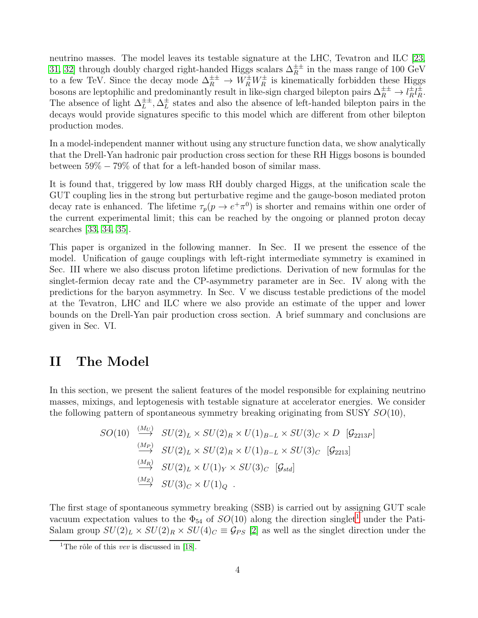neutrino masses. The model leaves its testable signature at the LHC, Tevatron and ILC [\[23,](#page-21-8) [31,](#page-22-1) [32\]](#page-22-2) through doubly charged right-handed Higgs scalars  $\Delta_R^{\pm\pm}$  in the mass range of 100 GeV to a few TeV. Since the decay mode  $\Delta_R^{\pm\pm} \to W_R^{\pm} W_R^{\pm}$  is kinematically forbidden these Higgs bosons are leptophilic and predominantly result in like-sign charged bilepton pairs  $\Delta_R^{\pm \pm} \to l_R^{\pm}$  $\frac{\pm}{R}l_{R}^{\pm}$  $\frac{\pm}{R}$ . The absence of light  $\Delta_L^{\pm \pm}, \Delta_L^{\pm}$  $\frac{1}{L}$  states and also the absence of left-handed bilepton pairs in the decays would provide signatures specific to this model which are different from other bilepton production modes.

In a model-independent manner without using any structure function data, we show analytically that the Drell-Yan hadronic pair production cross section for these RH Higgs bosons is bounded between 59% − 79% of that for a left-handed boson of similar mass.

It is found that, triggered by low mass RH doubly charged Higgs, at the unification scale the GUT coupling lies in the strong but perturbative regime and the gauge-boson mediated proton decay rate is enhanced. The lifetime  $\tau_p(p \to e^+ \pi^0)$  is shorter and remains within one order of the current experimental limit; this can be reached by the ongoing or planned proton decay searches [\[33,](#page-22-3) [34,](#page-22-4) [35\]](#page-22-5).

This paper is organized in the following manner. In Sec. II we present the essence of the model. Unification of gauge couplings with left-right intermediate symmetry is examined in Sec. III where we also discuss proton lifetime predictions. Derivation of new formulas for the singlet-fermion decay rate and the CP-asymmetry parameter are in Sec. IV along with the predictions for the baryon asymmetry. In Sec. V we discuss testable predictions of the model at the Tevatron, LHC and ILC where we also provide an estimate of the upper and lower bounds on the Drell-Yan pair production cross section. A brief summary and conclusions are given in Sec. VI.

# <span id="page-3-1"></span>II The Model

In this section, we present the salient features of the model responsible for explaining neutrino masses, mixings, and leptogenesis with testable signature at accelerator energies. We consider the following pattern of spontaneous symmetry breaking originating from SUSY  $SO(10)$ ,

$$
SO(10) \xrightarrow{\left(M_U\right)} SU(2)_L \times SU(2)_R \times U(1)_{B-L} \times SU(3)_C \times D \quad [G_{2213P}]
$$
  
\n
$$
\xrightarrow{\left(M_P\right)} SU(2)_L \times SU(2)_R \times U(1)_{B-L} \times SU(3)_C \quad [G_{2213}]
$$
  
\n
$$
\xrightarrow{\left(M_R\right)} SU(2)_L \times U(1)_Y \times SU(3)_C \quad [G_{std}]
$$
  
\n
$$
\xrightarrow{\left(M_Z\right)} SU(3)_C \times U(1)_Q
$$

The first stage of spontaneous symmetry breaking (SSB) is carried out by assigning GUT scale vacuum expectation values to the  $\Phi_{54}$  of  $SO(10)$  $SO(10)$  $SO(10)$  along the direction singlet<sup>1</sup> under the Pati-Salam group  $SU(2)_L \times SU(2)_R \times SU(4)_C \equiv \mathcal{G}_{PS}$  [\[2\]](#page-20-1) as well as the singlet direction under the

<span id="page-3-0"></span><sup>&</sup>lt;sup>1</sup>The rôle of this *vev* is discussed in [\[18\]](#page-21-3).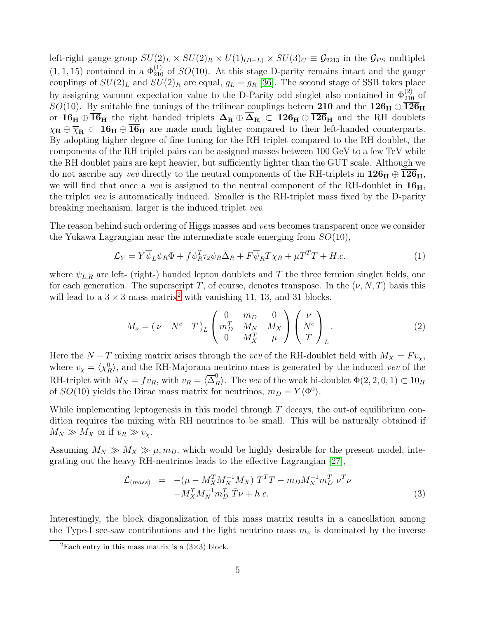left-right gauge group  $SU(2)_L \times SU(2)_R \times U(1)_{(B-L)} \times SU(3)_C \equiv \mathcal{G}_{2213}$  in the  $\mathcal{G}_{PS}$  multiplet  $(1, 1, 15)$  contained in a  $\Phi_{210}^{(1)}$  of  $SO(10)$ . At this stage D-parity remains intact and the gauge couplings of  $SU(2)_L$  and  $SU(2)_R$  are equal,  $g_L = g_R$  [\[36\]](#page-22-6). The second stage of SSB takes place by assigning vacuum expectation value to the D-Parity odd singlet also contained in  $\Phi_{210}^{(2)}$  of SO(10). By suitable fine tunings of the trilinear couplings beteen 210 and the  $126_H \oplus \overline{126}_H$ or  $16_H \oplus \overline{16}_H$  the right handed triplets  $\Delta_R \oplus \overline{\Delta}_R \subset 126_H \oplus \overline{126}_H$  and the RH doublets  $\chi_{\mathbf{R}} \oplus \overline{\chi}_{\mathbf{R}} \subset \mathbf{16}_{\mathbf{H}} \oplus \overline{\mathbf{16}}_{\mathbf{H}}$  are made much lighter compared to their left-handed counterparts. By adopting higher degree of fine tuning for the RH triplet compared to the RH doublet, the components of the RH triplet pairs can be assigned masses between 100 GeV to a few TeV while the RH doublet pairs are kept heavier, but sufficiently lighter than the GUT scale. Although we do not ascribe any vev directly to the neutral components of the RH-triplets in  $126_H \oplus \overline{126}_H$ , we will find that once a vev is assigned to the neutral component of the RH-doublet in  $16<sub>H</sub>$ , the triplet vev is automatically induced. Smaller is the RH-triplet mass fixed by the D-parity breaking mechanism, larger is the induced triplet vev.

The reason behind such ordering of Higgs masses and vevs becomes transparent once we consider the Yukawa Lagrangian near the intermediate scale emerging from  $SO(10)$ ,

<span id="page-4-1"></span>
$$
\mathcal{L}_Y = Y \overline{\psi}_L \psi_R \Phi + f \psi_R^T \tau_2 \psi_R \overline{\Delta}_R + F \overline{\psi}_R T \chi_R + \mu T^T T + H.c.
$$
 (1)

where  $\psi_{L,R}$  are left- (right-) handed lepton doublets and T the three fermion singlet fields, one for each generation. The superscript T, of course, denotes transpose. In the  $(\nu, N, T)$  basis this will lead to a  $3 \times 3$  mass matrix<sup>[2](#page-4-0)</sup> with vanishing 11, 13, and 31 blocks.

<span id="page-4-2"></span>
$$
M_{\nu} = (\nu \quad N^c \quad T)_{L} \begin{pmatrix} 0 & m_{D} & 0 \\ m_{D}^T & M_{N} & M_{X} \\ 0 & M_{X}^T & \mu \end{pmatrix} \begin{pmatrix} \nu \\ N^c \\ T \end{pmatrix}_{L}.
$$
 (2)

Here the  $N-T$  mixing matrix arises through the vev of the RH-doublet field with  $M_X = F v_\chi$ , where  $v_{\chi} = \langle \chi^0_R \rangle$ , and the RH-Majorana neutrino mass is generated by the induced vev of the RH-triplet with  $M_N = fv_R$ , with  $v_R = \langle \overline{\Delta}_R^0 \rangle$ . The vev of the weak bi-doublet  $\Phi(2, 2, 0, 1) \subset 10_H$ of  $SO(10)$  yields the Dirac mass matrix for neutrinos,  $m_D = Y \langle \Phi^0 \rangle$ .

While implementing leptogenesis in this model through  $T$  decays, the out-of equilibrium condition requires the mixing with RH neutrinos to be small. This will be naturally obtained if  $M_N \gg M_X$  or if  $v_R \gg v_X$ .

Assuming  $M_N \gg M_X \gg \mu$ ,  $m_D$ , which would be highly desirable for the present model, integrating out the heavy RH-neutrinos leads to the effective Lagrangian [\[27\]](#page-21-12),

$$
\mathcal{L}_{(mass)} = -(\mu - M_X^T M_N^{-1} M_X) T^T T - m_D M_N^{-1} m_D^T \nu^T \nu \n- M_X^T M_N^{-1} m_D^T \bar{T} \nu + h.c.
$$
\n(3)

Interestingly, the block diagonalization of this mass matrix results in a cancellation among the Type-I see-saw contributions and the light neutrino mass  $m_{\nu}$  is dominated by the inverse

<span id="page-4-0"></span><sup>&</sup>lt;sup>2</sup>Each entry in this mass matrix is a  $(3\times3)$  block.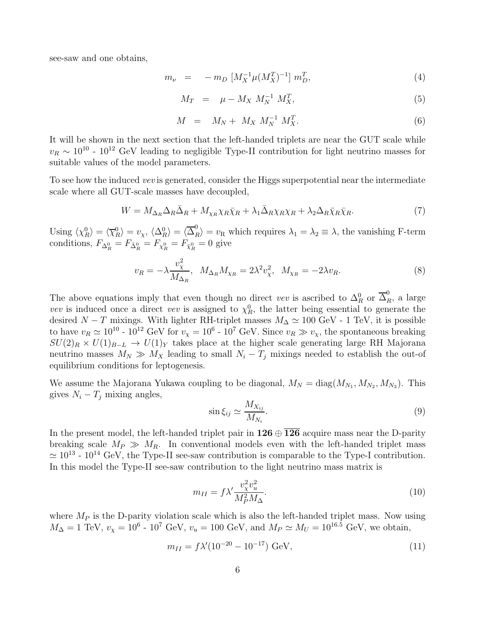see-saw and one obtains,

<span id="page-5-0"></span>
$$
m_{\nu} = -m_D \left[ M_X^{-1} \mu (M_X^T)^{-1} \right] m_D^T, \tag{4}
$$

<span id="page-5-2"></span>
$$
M_T = \mu - M_X M_N^{-1} M_X^T, \tag{5}
$$

<span id="page-5-1"></span>
$$
M = M_N + M_X M_N^{-1} M_X^T. \tag{6}
$$

It will be shown in the next section that the left-handed triplets are near the GUT scale while  $v_R \sim 10^{10}$  -  $10^{12}$  GeV leading to negligible Type-II contribution for light neutrino masses for suitable values of the model parameters.

To see how the induced vev is generated, consider the Higgs superpotential near the intermediate scale where all GUT-scale masses have decoupled,

$$
W = M_{\Delta_R} \Delta_R \bar{\Delta}_R + M_{\chi_R} \chi_R \bar{\chi}_R + \lambda_1 \bar{\Delta}_R \chi_R \chi_R + \lambda_2 \Delta_R \bar{\chi}_R \bar{\chi}_R. \tag{7}
$$

Using  $\langle \chi_R^0 \rangle = \langle \overline{\chi}_R^0 \rangle = v_\chi$ ,  $\langle \Delta_R^0 \rangle = \langle \overline{\Delta}_R^0 \rangle = v_\text{R}$  which requires  $\lambda_1 = \lambda_2 \equiv \lambda$ , the vanishing F-term conditions,  $F_{\Delta_R^0} = F_{\bar{\Delta}_R^0} = F_{\chi_R^0} = F_{\bar{\chi}_R^0} = 0$  give

$$
v_R = -\lambda \frac{v_\chi^2}{M_{\Delta_R}}, \ \ M_{\Delta_R} M_{\chi_R} = 2\lambda^2 v_\chi^2, \ \ M_{\chi_R} = -2\lambda v_R. \tag{8}
$$

The above equations imply that even though no direct vev is ascribed to  $\Delta_R^0$  or  $\overline{\Delta}_R^0$ , a large vev is induced once a direct vev is assigned to  $\chi_R^0$ , the latter being essential to generate the desired  $N-T$  mixings. With lighter RH-triplet masses  $M_{\Delta} \simeq 100 \text{ GeV}$  - 1 TeV, it is possible to have  $v_R \simeq 10^{10}$  -  $10^{12}$  GeV for  $v_\chi = 10^6$  -  $10^7$  GeV. Since  $v_R \gg v_\chi$ , the spontaneous breaking  $SU(2)_R \times U(1)_{B-L} \rightarrow U(1)_Y$  takes place at the higher scale generating large RH Majorana neutrino masses  $M_N \gg M_X$  leading to small  $N_i - T_j$  mixings needed to establish the out-of equilibrium conditions for leptogenesis.

We assume the Majorana Yukawa coupling to be diagonal,  $M_N = \text{diag}(M_{N_1}, M_{N_2}, M_{N_3})$ . This gives  $N_i - T_j$  mixing angles,

<span id="page-5-3"></span>
$$
\sin \xi_{ij} \simeq \frac{M_{X_{ij}}}{M_{N_i}}.\tag{9}
$$

In the present model, the left-handed triplet pair in  $126 \oplus \overline{126}$  acquire mass near the D-parity breaking scale  $M_P \gg M_R$ . In conventional models even with the left-handed triplet mass  $\simeq 10^{13}$  -  $10^{14}$  GeV, the Type-II see-saw contribution is comparable to the Type-I contribution. In this model the Type-II see-saw contribution to the light neutrino mass matrix is

$$
m_{II} = f \lambda' \frac{v_\chi^2 v_u^2}{M_P^2 M_\Delta}.\tag{10}
$$

where  $M_P$  is the D-parity violation scale which is also the left-handed triplet mass. Now using  $M_{\Delta} = 1$  TeV,  $v_{\chi} = 10^6 \text{ - } 10^7 \text{ GeV}, v_u = 100 \text{ GeV}, \text{ and } M_P \simeq M_U = 10^{16.5} \text{ GeV}, \text{ we obtain,}$ 

$$
m_{II} = f\lambda'(10^{-20} - 10^{-17}) \text{ GeV},\tag{11}
$$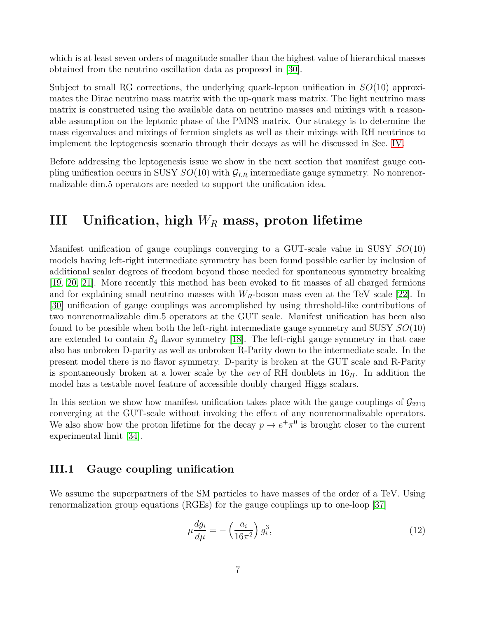which is at least seven orders of magnitude smaller than the highest value of hierarchical masses obtained from the neutrino oscillation data as proposed in [\[30\]](#page-22-0).

Subject to small RG corrections, the underlying quark-lepton unification in  $SO(10)$  approximates the Dirac neutrino mass matrix with the up-quark mass matrix. The light neutrino mass matrix is constructed using the available data on neutrino masses and mixings with a reasonable assumption on the leptonic phase of the PMNS matrix. Our strategy is to determine the mass eigenvalues and mixings of fermion singlets as well as their mixings with RH neutrinos to implement the leptogenesis scenario through their decays as will be discussed in Sec. [IV.](#page-11-0)

Before addressing the leptogenesis issue we show in the next section that manifest gauge coupling unification occurs in SUSY  $SO(10)$  with  $\mathcal{G}_{LR}$  intermediate gauge symmetry. No nonrenormalizable dim.5 operators are needed to support the unification idea.

# III Unification, high  $W_R$  mass, proton lifetime

Manifest unification of gauge couplings converging to a GUT-scale value in SUSY  $SO(10)$ models having left-right intermediate symmetry has been found possible earlier by inclusion of additional scalar degrees of freedom beyond those needed for spontaneous symmetry breaking [\[19,](#page-21-4) [20,](#page-21-5) [21\]](#page-21-6). More recently this method has been evoked to fit masses of all charged fermions and for explaining small neutrino masses with  $W_R$ -boson mass even at the TeV scale [\[22\]](#page-21-7). In [\[30\]](#page-22-0) unification of gauge couplings was accomplished by using threshold-like contributions of two nonrenormalizable dim.5 operators at the GUT scale. Manifest unification has been also found to be possible when both the left-right intermediate gauge symmetry and SUSY  $SO(10)$ are extended to contain  $S_4$  flavor symmetry [\[18\]](#page-21-3). The left-right gauge symmetry in that case also has unbroken D-parity as well as unbroken R-Parity down to the intermediate scale. In the present model there is no flavor symmetry. D-parity is broken at the GUT scale and R-Parity is spontaneously broken at a lower scale by the vev of RH doublets in  $16<sub>H</sub>$ . In addition the model has a testable novel feature of accessible doubly charged Higgs scalars.

In this section we show how manifest unification takes place with the gauge couplings of  $\mathcal{G}_{2213}$ converging at the GUT-scale without invoking the effect of any nonrenormalizable operators. We also show how the proton lifetime for the decay  $p \to e^+ \pi^0$  is brought closer to the current experimental limit [\[34\]](#page-22-4).

### III.1 Gauge coupling unification

We assume the superpartners of the SM particles to have masses of the order of a TeV. Using renormalization group equations (RGEs) for the gauge couplings up to one-loop [\[37\]](#page-22-7)

$$
\mu \frac{dg_i}{d\mu} = -\left(\frac{a_i}{16\pi^2}\right) g_i^3,\tag{12}
$$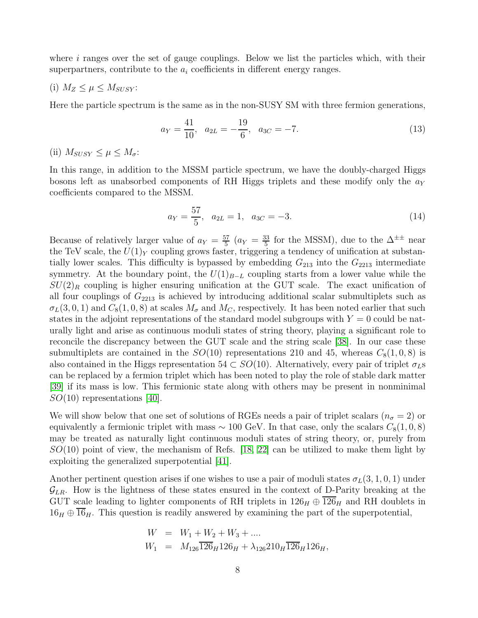where  $i$  ranges over the set of gauge couplings. Below we list the particles which, with their superpartners, contribute to the  $a_i$  coefficients in different energy ranges.

(i) 
$$
M_Z \leq \mu \leq M_{SUSY}
$$
:

Here the particle spectrum is the same as in the non-SUSY SM with three fermion generations,

$$
a_Y = \frac{41}{10}, \quad a_{2L} = -\frac{19}{6}, \quad a_{3C} = -7. \tag{13}
$$

(ii)  $M_{SUSY} \leq \mu \leq M_{\sigma}$ :

In this range, in addition to the MSSM particle spectrum, we have the doubly-charged Higgs bosons left as unabsorbed components of RH Higgs triplets and these modify only the  $a<sub>Y</sub>$ coefficients compared to the MSSM.

$$
a_Y = \frac{57}{5}, \quad a_{2L} = 1, \quad a_{3C} = -3. \tag{14}
$$

Because of relatively larger value of  $a_Y = \frac{57}{5}$  $rac{57}{5}$   $(a_Y = \frac{33}{5})$  $\frac{33}{5}$  for the MSSM), due to the  $\Delta^{\pm \pm}$  near the TeV scale, the  $U(1)_Y$  coupling grows faster, triggering a tendency of unification at substantially lower scales. This difficulty is bypassed by embedding  $G_{213}$  into the  $G_{2213}$  intermediate symmetry. At the boundary point, the  $U(1)_{B-L}$  coupling starts from a lower value while the  $SU(2)_R$  coupling is higher ensuring unification at the GUT scale. The exact unification of all four couplings of  $G_{2213}$  is achieved by introducing additional scalar submultiplets such as  $\sigma_L(3,0,1)$  and  $C_8(1,0,8)$  at scales  $M_{\sigma}$  and  $M_C$ , respectively. It has been noted earlier that such states in the adjoint representations of the standard model subgroups with  $Y = 0$  could be naturally light and arise as continuous moduli states of string theory, playing a significant role to reconcile the discrepancy between the GUT scale and the string scale [\[38\]](#page-22-8). In our case these submultiplets are contained in the  $SO(10)$  representations 210 and 45, whereas  $C_8(1, 0, 8)$  is also contained in the Higgs representation 54  $\subset SO(10)$ . Alternatively, every pair of triplet  $\sigma_{LS}$ can be replaced by a fermion triplet which has been noted to play the role of stable dark matter [\[39\]](#page-22-9) if its mass is low. This fermionic state along with others may be present in nonminimal  $SO(10)$  representations [\[40\]](#page-22-10).

We will show below that one set of solutions of RGEs needs a pair of triplet scalars ( $n_{\sigma} = 2$ ) or equivalently a fermionic triplet with mass  $\sim 100 \text{ GeV}$ . In that case, only the scalars  $C_8(1, 0, 8)$ may be treated as naturally light continuous moduli states of string theory, or, purely from  $SO(10)$  point of view, the mechanism of Refs. [\[18,](#page-21-3) [22\]](#page-21-7) can be utilized to make them light by exploiting the generalized superpotential [\[41\]](#page-22-11).

Another pertinent question arises if one wishes to use a pair of moduli states  $\sigma_L(3, 1, 0, 1)$  under  $\mathcal{G}_{LR}$ . How is the lightness of these states ensured in the context of D-Parity breaking at the GUT scale leading to lighter components of RH triplets in  $126_H \oplus \overline{126}_H$  and RH doublets in  $16_H \oplus 16_H$ . This question is readily answered by examining the part of the superpotential,

$$
W = W_1 + W_2 + W_3 + \dots
$$
  
\n
$$
W_1 = M_{126} \overline{126}_H 126_H + \lambda_{126} 210_H \overline{126}_H 126_H,
$$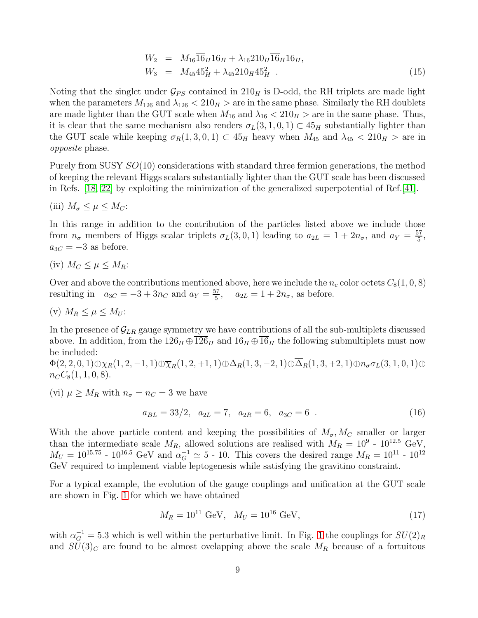$$
W_2 = M_{16} \overline{16}_H 16_H + \lambda_{16} 210_H \overline{16}_H 16_H, W_3 = M_{45} 45_H^2 + \lambda_{45} 210_H 45_H^2.
$$
 (15)

Noting that the singlet under  $\mathcal{G}_{PS}$  contained in  $210_H$  is D-odd, the RH triplets are made light when the parameters  $M_{126}$  and  $\lambda_{126}$  <  $210<sub>H</sub>$  are in the same phase. Similarly the RH doublets are made lighter than the GUT scale when  $M_{16}$  and  $\lambda_{16}$  <  $210<sub>H</sub>$  > are in the same phase. Thus, it is clear that the same mechanism also renders  $\sigma_L(3, 1, 0, 1) \subset 45_H$  substantially lighter than the GUT scale while keeping  $\sigma_R(1,3,0,1) \subset 45_H$  heavy when  $M_{45}$  and  $\lambda_{45} < 210_H >$  are in opposite phase.

Purely from SUSY SO(10) considerations with standard three fermion generations, the method of keeping the relevant Higgs scalars substantially lighter than the GUT scale has been discussed in Refs. [\[18,](#page-21-3) [22\]](#page-21-7) by exploiting the minimization of the generalized superpotential of Ref.[\[41\]](#page-22-11).

(iii) 
$$
M_{\sigma} \leq \mu \leq M_C
$$
:

In this range in addition to the contribution of the particles listed above we include those from  $n_{\sigma}$  members of Higgs scalar triplets  $\sigma_L(3,0,1)$  leading to  $a_{2L} = 1 + 2n_{\sigma}$ , and  $a_Y = \frac{57}{5}$  $\frac{57}{5}$ ,  $a_{3C} = -3$  as before.

(iv)  $M_C \leq \mu \leq M_R$ :

Over and above the contributions mentioned above, here we include the  $n_c$  color octets  $C_8(1, 0, 8)$ resulting in  $a_{3C} = -3 + 3n_C$  and  $a_Y = \frac{57}{5}$  $a_{2L} = 1 + 2n_{\sigma}$ , as before.

$$
(v) M_R \le \mu \le M_U:
$$

In the presence of  $\mathcal{G}_{LR}$  gauge symmetry we have contributions of all the sub-multiplets discussed above. In addition, from the  $126_H \oplus \overline{126}_H$  and  $16_H \oplus \overline{16}_H$  the following submultiplets must now be included:

 $\Phi(2, 2, 0, 1) \oplus \chi_R(1, 2, -1, 1) \oplus \overline{\chi}_R(1, 2, +1, 1) \oplus \Delta_R(1, 3, -2, 1) \oplus \overline{\Delta}_R(1, 3, +2, 1) \oplus n_{\sigma} \sigma_L(3, 1, 0, 1) \oplus$  $n_{C}C_{8}(1, 1, 0, 8).$ 

(vi)  $\mu \geq M_R$  with  $n_{\sigma} = n_C = 3$  we have

$$
a_{BL} = 33/2, \quad a_{2L} = 7, \quad a_{2R} = 6, \quad a_{3C} = 6 \tag{16}
$$

With the above particle content and keeping the possibilities of  $M_{\sigma}$ ,  $M_{C}$  smaller or larger than the intermediate scale  $M_R$ , allowed solutions are realised with  $M_R = 10^9$  -  $10^{12.5}$  GeV,  $M_U = 10^{15.75}$  -  $10^{16.5}$  GeV and  $\alpha_G^{-1} \simeq 5$  - 10. This covers the desired range  $M_R = 10^{11}$  -  $10^{12}$ GeV required to implement viable leptogenesis while satisfying the gravitino constraint.

For a typical example, the evolution of the gauge couplings and unification at the GUT scale are shown in Fig. [1](#page-9-0) for which we have obtained

$$
M_R = 10^{11} \text{ GeV}, \quad M_U = 10^{16} \text{ GeV}, \tag{17}
$$

with  $\alpha_G^{-1} = 5.3$  which is well within the perturbative limit. In Fig. [1](#page-9-0) the couplings for  $SU(2)_R$ and  $SU(3)_C$  are found to be almost ovelapping above the scale  $M_R$  because of a fortuitous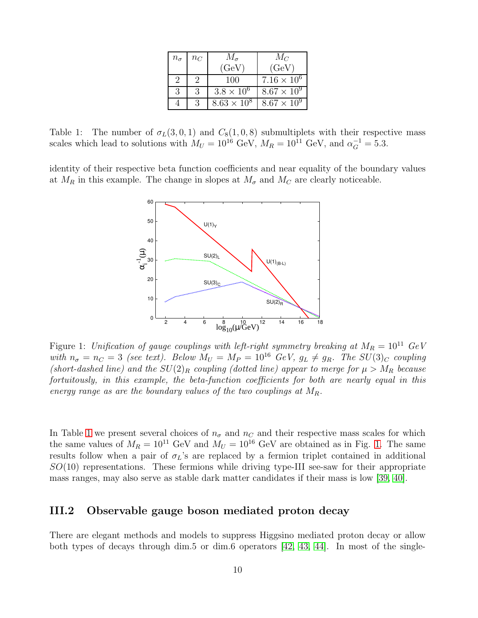| $n_{\sigma}$ | $n_C$ | $M_{\sigma}$        | $M_C$                |  |  |  |
|--------------|-------|---------------------|----------------------|--|--|--|
|              |       | (GeV)               | (GeV)                |  |  |  |
| 2            |       | 100                 | $7.16 \times 10^{6}$ |  |  |  |
| 3            |       | $3.8 \times 10^{6}$ | $8.67 \times 10^{9}$ |  |  |  |
|              |       | $8.63 \times 10^8$  | $8.67 \times 10^9$   |  |  |  |

<span id="page-9-1"></span>Table 1: The number of  $\sigma_L(3,0,1)$  and  $C_8(1,0,8)$  submultiplets with their respective mass scales which lead to solutions with  $M_U = 10^{16}$  GeV,  $M_R = 10^{11}$  GeV, and  $\alpha_G^{-1} = 5.3$ .

identity of their respective beta function coefficients and near equality of the boundary values at  $M_R$  in this example. The change in slopes at  $M_{\sigma}$  and  $M_C$  are clearly noticeable.



<span id="page-9-0"></span>Figure 1: Unification of gauge couplings with left-right symmetry breaking at  $M_R = 10^{11}$  GeV with  $n_{\sigma} = n_{C} = 3$  (see text). Below  $M_{U} = M_{P} = 10^{16}$  GeV,  $g_{L} \neq g_{R}$ . The SU(3)<sub>C</sub> coupling (short-dashed line) and the  $SU(2)_R$  coupling (dotted line) appear to merge for  $\mu > M_R$  because fortuitously, in this example, the beta-function coefficients for both are nearly equal in this energy range as are the boundary values of the two couplings at  $M_R$ .

In Table [1](#page-9-1) we present several choices of  $n_{\sigma}$  and  $n_{C}$  and their respective mass scales for which the same values of  $M_R = 10^{11}$  GeV and  $M_U = 10^{16}$  GeV are obtained as in Fig. [1.](#page-9-0) The same results follow when a pair of  $\sigma_L$ 's are replaced by a fermion triplet contained in additional  $SO(10)$  representations. These fermions while driving type-III see-saw for their appropriate mass ranges, may also serve as stable dark matter candidates if their mass is low [\[39,](#page-22-9) [40\]](#page-22-10).

### III.2 Observable gauge boson mediated proton decay

There are elegant methods and models to suppress Higgsino mediated proton decay or allow both types of decays through dim.5 or dim.6 operators  $[42, 43, 44]$  $[42, 43, 44]$  $[42, 43, 44]$ . In most of the single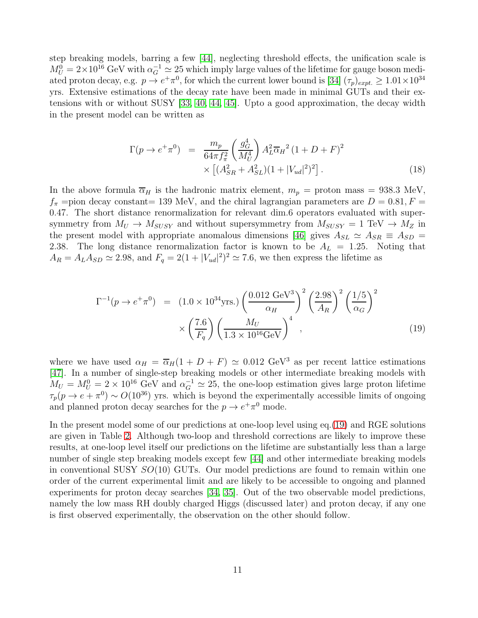step breaking models, barring a few [\[44\]](#page-22-14), neglecting threshold effects, the unification scale is  $M_U^0 = 2 \times 10^{16}$  GeV with  $\alpha_G^{-1} \simeq 25$  which imply large values of the lifetime for gauge boson mediated proton decay, e.g.  $p \to e^+ \pi^0$ , for which the current lower bound is [\[34\]](#page-22-4)  $(\tau_p)_{expt.} \ge 1.01 \times 10^{34}$ yrs. Extensive estimations of the decay rate have been made in minimal GUTs and their extensions with or without SUSY [\[33,](#page-22-3) [40,](#page-22-10) [44,](#page-22-14) [45\]](#page-22-15). Upto a good approximation, the decay width in the present model can be written as

$$
\Gamma(p \to e^+ \pi^0) = \frac{m_p}{64\pi f_\pi^2} \left(\frac{g_G^4}{M_U^4}\right) A_L^2 \overline{\alpha}_H^2 (1 + D + F)^2
$$
  
 
$$
\times \left[ (A_{SR}^2 + A_{SL}^2)(1 + |V_{ud}|^2)^2 \right].
$$
 (18)

In the above formula  $\overline{\alpha}_H$  is the hadronic matrix element,  $m_p =$  proton mass = 938.3 MeV,  $f_{\pi}$  =pion decay constant= 139 MeV, and the chiral lagrangian parameters are  $D = 0.81, F =$ 0.47. The short distance renormalization for relevant dim.6 operators evaluated with supersymmetry from  $M_U \to M_{SUSY}$  and without supersymmetry from  $M_{SUSY} = 1 \text{ TeV} \to M_Z$  in the present model with appropriate anomalous dimensions [\[46\]](#page-23-0) gives  $A_{SL} \simeq A_{SR} \equiv A_{SD}$ 2.38. The long distance renormalization factor is known to be  $A_L = 1.25$ . Noting that  $A_R = A_L A_{SD} \simeq 2.98$ , and  $F_q = 2(1 + |V_{ud}|^2)^2 \simeq 7.6$ , we then express the lifetime as

<span id="page-10-0"></span>
$$
\Gamma^{-1}(p \to e^+ \pi^0) = (1.0 \times 10^{34} \text{yrs.}) \left(\frac{0.012 \text{ GeV}^3}{\alpha_H}\right)^2 \left(\frac{2.98}{A_R}\right)^2 \left(\frac{1/5}{\alpha_G}\right)^2
$$
  
 
$$
\times \left(\frac{7.6}{F_q}\right) \left(\frac{M_U}{1.3 \times 10^{16} \text{GeV}}\right)^4 , \tag{19}
$$

where we have used  $\alpha_H = \overline{\alpha}_H(1 + D + F) \simeq 0.012 \text{ GeV}^3$  as per recent lattice estimations [\[47\]](#page-23-1). In a number of single-step breaking models or other intermediate breaking models with  $M_U = M_U^0 = 2 \times 10^{16}$  GeV and  $\alpha_G^{-1} \simeq 25$ , the one-loop estimation gives large proton lifetime  $\tau_p(p \to e + \pi^0) \sim O(10^{36})$  yrs. which is beyond the experimentally accessible limits of ongoing and planned proton decay searches for the  $p \to e^+ \pi^0$  mode.

In the present model some of our predictions at one-loop level using eq.[\(19\)](#page-10-0) and RGE solutions are given in Table [2.](#page-11-1) Although two-loop and threshold corrections are likely to improve these results, at one-loop level itself our predictions on the lifetime are substantially less than a large number of single step breaking models except few [\[44\]](#page-22-14) and other intermediate breaking models in conventional SUSY  $SO(10)$  GUTs. Our model predictions are found to remain within one order of the current experimental limit and are likely to be accessible to ongoing and planned experiments for proton decay searches [\[34,](#page-22-4) [35\]](#page-22-5). Out of the two observable model predictions, namely the low mass RH doubly charged Higgs (discussed later) and proton decay, if any one is first observed experimentally, the observation on the other should follow.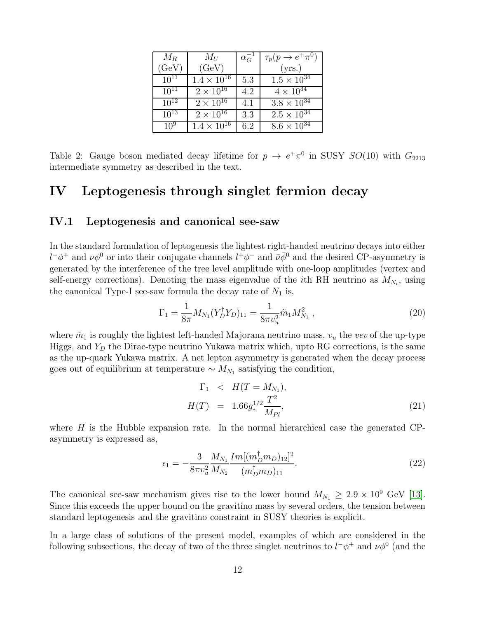| $M_R$     | $M_U$                | $\alpha_G^-$ | $\tau_p(p \to e^+ \pi^0)$       |
|-----------|----------------------|--------------|---------------------------------|
| (GeV)     | (GeV)                |              | (yrs.)                          |
| $10^{11}$ | $1.4 \times 10^{16}$ | 5.3          | $1.5 \times \overline{10^{34}}$ |
| $10^{11}$ | $2\times10^{16}$     | 4.2          | $4 \times 10^{34}$              |
| $10^{12}$ | $2 \times 10^{16}$   | 4.1          | $3.8 \times 10^{34}$            |
| $10^{13}$ | $2 \times 10^{16}$   | 3.3          | $2.5 \times 10^{34}$            |
| $10^{9}$  | $1.4 \times 10^{16}$ | 6.2          | $8.6 \times 10^{3\overline{4}}$ |

<span id="page-11-1"></span>Table 2: Gauge boson mediated decay lifetime for  $p \to e^+\pi^0$  in SUSY  $SO(10)$  with  $G_{2213}$ intermediate symmetry as described in the text.

# <span id="page-11-0"></span>IV Leptogenesis through singlet fermion decay

#### IV.1 Leptogenesis and canonical see-saw

In the standard formulation of leptogenesis the lightest right-handed neutrino decays into either  $l^-\phi^+$  and  $\nu\phi^0$  or into their conjugate channels  $l^+\phi^-$  and  $\bar{\nu}\bar{\phi}^0$  and the desired CP-asymmetry is generated by the interference of the tree level amplitude with one-loop amplitudes (vertex and self-energy corrections). Denoting the mass eigenvalue of the *i*th RH neutrino as  $M_{N_i}$ , using the canonical Type-I see-saw formula the decay rate of  $N_1$  is,

<span id="page-11-2"></span>
$$
\Gamma_1 = \frac{1}{8\pi} M_{N_1} (Y_D^{\dagger} Y_D)_{11} = \frac{1}{8\pi v_u^2} \tilde{m}_1 M_{N_1}^2 \;, \tag{20}
$$

where  $\tilde{m}_1$  is roughly the lightest left-handed Majorana neutrino mass,  $v_u$  the vev of the up-type Higgs, and  $Y_D$  the Dirac-type neutrino Yukawa matrix which, upto RG corrections, is the same as the up-quark Yukawa matrix. A net lepton asymmetry is generated when the decay process goes out of equilibrium at temperature  $\sim M_{N_1}$  satisfying the condition,

$$
\Gamma_1 \leq H(T = M_{N_1}),
$$
  
\n
$$
H(T) = 1.66g_*^{1/2} \frac{T^2}{M_{Pl}},
$$
\n(21)

where  $H$  is the Hubble expansion rate. In the normal hierarchical case the generated CPasymmetry is expressed as,

$$
\epsilon_1 = -\frac{3}{8\pi v_u^2} \frac{M_{N_1}}{M_{N_2}} \frac{Im[(m_D^{\dagger}m_D)_{12}]^2}{(m_D^{\dagger}m_D)_{11}}.
$$
\n(22)

The canonical see-saw mechanism gives rise to the lower bound  $M_{N_1} \geq 2.9 \times 10^9$  GeV [\[13\]](#page-20-12). Since this exceeds the upper bound on the gravitino mass by several orders, the tension between standard leptogenesis and the gravitino constraint in SUSY theories is explicit.

In a large class of solutions of the present model, examples of which are considered in the following subsections, the decay of two of the three singlet neutrinos to  $l^-\phi^+$  and  $\nu\phi^0$  (and the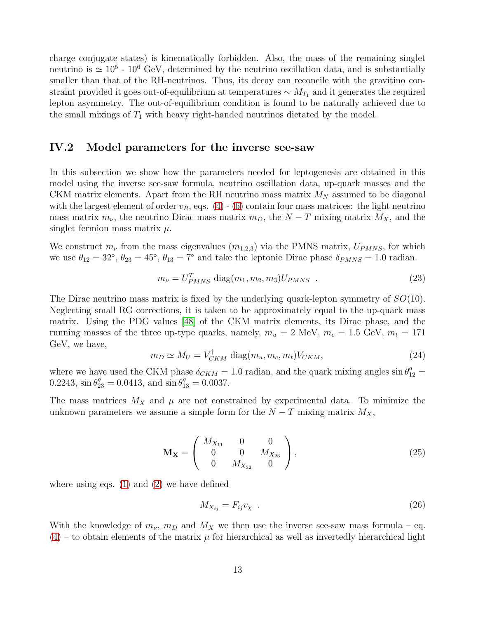charge conjugate states) is kinematically forbidden. Also, the mass of the remaining singlet neutrino is  $\simeq 10^5$  -  $10^6$  GeV, determined by the neutrino oscillation data, and is substantially smaller than that of the RH-neutrinos. Thus, its decay can reconcile with the gravitino constraint provided it goes out-of-equilibrium at temperatures  $\sim M_{T_1}$  and it generates the required lepton asymmetry. The out-of-equilibrium condition is found to be naturally achieved due to the small mixings of  $T_1$  with heavy right-handed neutrinos dictated by the model.

### IV.2 Model parameters for the inverse see-saw

In this subsection we show how the parameters needed for leptogenesis are obtained in this model using the inverse see-saw formula, neutrino oscillation data, up-quark masses and the CKM matrix elements. Apart from the RH neutrino mass matrix  $M_N$  assumed to be diagonal with the largest element of order  $v_R$ , eqs. [\(4\)](#page-5-0) - [\(6\)](#page-5-1) contain four mass matrices: the light neutrino mass matrix  $m_{\nu}$ , the neutrino Dirac mass matrix  $m_D$ , the  $N-T$  mixing matrix  $M_X$ , and the singlet fermion mass matrix  $\mu$ .

We construct  $m_{\nu}$  from the mass eigenvalues  $(m_{1,2,3})$  via the PMNS matrix,  $U_{PMNS}$ , for which we use  $\theta_{12} = 32^{\circ}$ ,  $\theta_{23} = 45^{\circ}$ ,  $\theta_{13} = 7^{\circ}$  and take the leptonic Dirac phase  $\delta_{PMNS} = 1.0$  radian.

$$
m_{\nu} = U_{PMNS}^{T} \text{ diag}(m_1, m_2, m_3) U_{PMNS} \tag{23}
$$

The Dirac neutrino mass matrix is fixed by the underlying quark-lepton symmetry of  $SO(10)$ . Neglecting small RG corrections, it is taken to be approximately equal to the up-quark mass matrix. Using the PDG values [\[48\]](#page-23-2) of the CKM matrix elements, its Dirac phase, and the running masses of the three up-type quarks, namely,  $m_u = 2$  MeV,  $m_c = 1.5$  GeV,  $m_t = 171$ GeV, we have,

$$
m_D \simeq M_U = V_{CKM}^{\dagger} \text{ diag}(m_u, m_c, m_t) V_{CKM}, \qquad (24)
$$

where we have used the CKM phase  $\delta_{CKM} = 1.0$  radian, and the quark mixing angles  $\sin \theta_{12}^q =$  $0.2243$ ,  $\sin \theta_{23}^q = 0.0413$ , and  $\sin \theta_{13}^q = 0.0037$ .

The mass matrices  $M_X$  and  $\mu$  are not constrained by experimental data. To minimize the unknown parameters we assume a simple form for the  $N-T$  mixing matrix  $M_X$ ,

<span id="page-12-0"></span>
$$
\mathbf{M}_{\mathbf{X}} = \begin{pmatrix} M_{X_{11}} & 0 & 0 \\ 0 & 0 & M_{X_{23}} \\ 0 & M_{X_{32}} & 0 \end{pmatrix},
$$
 (25)

where using eqs.  $(1)$  and  $(2)$  we have defined

$$
M_{X_{ij}} = F_{ij}v_{\chi} \tag{26}
$$

With the knowledge of  $m_{\nu}$ ,  $m_D$  and  $M_X$  we then use the inverse see-saw mass formula – eq.  $(4)$  – to obtain elements of the matrix  $\mu$  for hierarchical as well as invertedly hierarchical light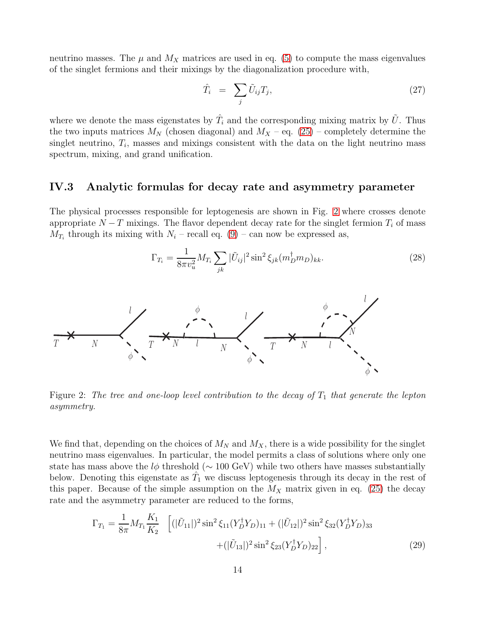neutrino masses. The  $\mu$  and  $M_X$  matrices are used in eq. [\(5\)](#page-5-2) to compute the mass eigenvalues of the singlet fermions and their mixings by the diagonalization procedure with,

$$
\hat{T}_i = \sum_j \tilde{U}_{ij} T_j,\tag{27}
$$

where we denote the mass eigenstates by  $\hat{T}_i$  and the corresponding mixing matrix by  $\tilde{U}$ . Thus the two inputs matrices  $M_N$  (chosen diagonal) and  $M_X$  – eq. [\(25\)](#page-12-0) – completely determine the singlet neutrino,  $T_i$ , masses and mixings consistent with the data on the light neutrino mass spectrum, mixing, and grand unification.

#### IV.3 Analytic formulas for decay rate and asymmetry parameter

The physical processes responsible for leptogenesis are shown in Fig. [2](#page-13-0) where crosses denote appropriate  $N-T$  mixings. The flavor dependent decay rate for the singlet fermion  $T_i$  of mass  $M_{T_i}$  through its mixing with  $N_i$  – recall eq. [\(9\)](#page-5-3) – can now be expressed as,

$$
\Gamma_{T_i} = \frac{1}{8\pi v_u^2} M_{T_i} \sum_{jk} |\tilde{U}_{ij}|^2 \sin^2 \xi_{jk} (m_D^{\dagger} m_D)_{kk}.
$$
 (28)



<span id="page-13-0"></span>Figure 2: The tree and one-loop level contribution to the decay of  $T_1$  that generate the lepton asymmetry.

We find that, depending on the choices of  $M_N$  and  $M_X$ , there is a wide possibility for the singlet neutrino mass eigenvalues. In particular, the model permits a class of solutions where only one state has mass above the  $l\phi$  threshold ( $\sim 100 \text{ GeV}$ ) while two others have masses substantially below. Denoting this eigenstate as  $\hat{T}_1$  we discuss leptogenesis through its decay in the rest of this paper. Because of the simple assumption on the  $M_X$  matrix given in eq. [\(25\)](#page-12-0) the decay rate and the asymmetry parameter are reduced to the forms,

$$
\Gamma_{T_1} = \frac{1}{8\pi} M_{T_1} \frac{K_1}{K_2} \left[ (|\tilde{U}_{11}|)^2 \sin^2 \xi_{11} (Y_D^{\dagger} Y_D)_{11} + (|\tilde{U}_{12}|)^2 \sin^2 \xi_{32} (Y_D^{\dagger} Y_D)_{33} \right. \\ \left. + (|\tilde{U}_{13}|)^2 \sin^2 \xi_{23} (Y_D^{\dagger} Y_D)_{22} \right], \tag{29}
$$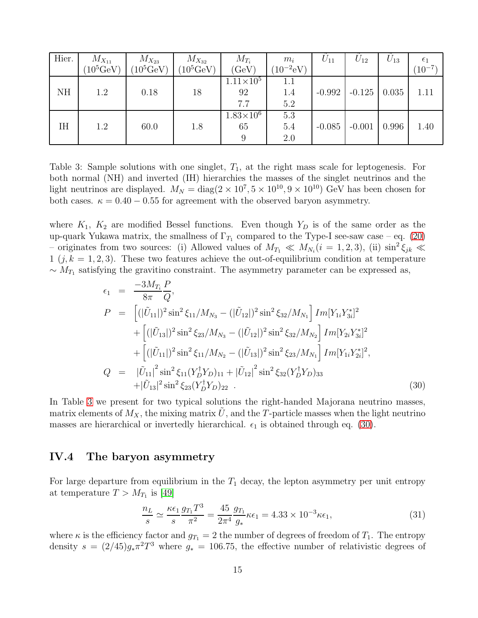| Hier. | $M_{X_{11}}$       | $M_{X_{23}}$       | $M_{X_{32}}$        | $M_{T_i}$          | $m_i$          | $U_{11}$ | $U_{12}$ | $U_{13}$ | $\epsilon_1$ |
|-------|--------------------|--------------------|---------------------|--------------------|----------------|----------|----------|----------|--------------|
|       | $(10^5 {\rm GeV})$ | $(10^5 {\rm GeV})$ | $(10^5 \text{GeV})$ | (GeV)              | $(10^{-2}$ eV) |          |          |          | $(10^{-7})$  |
|       |                    |                    |                     | $1.11 \times 10^5$ | 1.1            |          |          |          |              |
| NH    | 1.2                | 0.18               | 18                  | 92                 | 1.4            | $-0.992$ | $-0.125$ | 0.035    | 1.11         |
|       |                    |                    |                     | 7.7                | 5.2            |          |          |          |              |
|       |                    |                    |                     | $1.83\times10^{6}$ | 5.3            |          |          |          |              |
| IH    | 1.2                | 60.0               | 1.8                 | 65                 | 5.4            | $-0.085$ | $-0.001$ | 0.996    | 1.40         |
|       |                    |                    |                     |                    | 2.0            |          |          |          |              |

<span id="page-14-0"></span>Table 3: Sample solutions with one singlet,  $T_1$ , at the right mass scale for leptogenesis. For both normal (NH) and inverted (IH) hierarchies the masses of the singlet neutrinos and the light neutrinos are displayed.  $M_N = \text{diag}(2 \times 10^7, 5 \times 10^{10}, 9 \times 10^{10})$  GeV has been chosen for both cases.  $\kappa = 0.40 - 0.55$  for agreement with the observed baryon asymmetry.

where  $K_1$ ,  $K_2$  are modified Bessel functions. Even though  $Y_D$  is of the same order as the up-quark Yukawa matrix, the smallness of  $\Gamma_{T_1}$  compared to the Type-I see-saw case – eq. [\(20\)](#page-11-2) – originates from two sources: (i) Allowed values of  $M_{T_1} \ll M_{N_i} (i = 1, 2, 3)$ , (ii)  $\sin^2 \xi_{jk} \ll$  $1 (j, k = 1, 2, 3)$ . These two features achieve the out-of-equilibrium condition at temperature  $\sim M_{T_1}$  satisfying the gravitino constraint. The asymmetry parameter can be expressed as,

<span id="page-14-1"></span>
$$
\epsilon_{1} = \frac{-3M_{T_{i}}P}{8\pi Q},
$$
\n
$$
P = [(|\tilde{U}_{11}|)^{2} \sin^{2} \xi_{11}/M_{N_{3}} - (|\tilde{U}_{12}|)^{2} \sin^{2} \xi_{32}/M_{N_{1}}] Im[Y_{1i}Y_{3i}^{*}]^{2}
$$
\n
$$
+ [(|\tilde{U}_{13}|)^{2} \sin^{2} \xi_{23}/M_{N_{3}} - (|\tilde{U}_{12}|)^{2} \sin^{2} \xi_{32}/M_{N_{2}}] Im[Y_{2i}Y_{3i}^{*}]^{2}
$$
\n
$$
+ [(|\tilde{U}_{11}|)^{2} \sin^{2} \xi_{11}/M_{N_{2}} - (|\tilde{U}_{13}|)^{2} \sin^{2} \xi_{23}/M_{N_{1}}] Im[Y_{1i}Y_{2i}^{*}]^{2},
$$
\n
$$
Q = |\tilde{U}_{11}|^{2} \sin^{2} \xi_{11}(Y_{D}^{\dagger}Y_{D})_{11} + |\tilde{U}_{12}|^{2} \sin^{2} \xi_{32}(Y_{D}^{\dagger}Y_{D})_{33}
$$
\n
$$
+ |\tilde{U}_{13}|^{2} \sin^{2} \xi_{23}(Y_{D}^{\dagger}Y_{D})_{22} .
$$
\n(30)

In Table [3](#page-14-0) we present for two typical solutions the right-handed Majorana neutrino masses, matrix elements of  $M_X$ , the mixing matrix U, and the T-particle masses when the light neutrino masses are hierarchical or invertedly hierarchical.  $\epsilon_1$  is obtained through eq. [\(30\)](#page-14-1).

### IV.4 The baryon asymmetry

For large departure from equilibrium in the  $T_1$  decay, the lepton asymmetry per unit entropy at temperature  $T > M_{T_1}$  is [\[49\]](#page-23-3)

$$
\frac{n_L}{s} \simeq \frac{\kappa \epsilon_1}{s} \frac{g_{T_1} T^3}{\pi^2} = \frac{45}{2\pi^4} \frac{g_{T_1}}{g_*} \kappa \epsilon_1 = 4.33 \times 10^{-3} \kappa \epsilon_1,\tag{31}
$$

where  $\kappa$  is the efficiency factor and  $g_{T_1} = 2$  the number of degrees of freedom of  $T_1$ . The entropy density  $s = (2/45)g_*\pi^2T^3$  where  $g_* = 106.75$ , the effective number of relativistic degrees of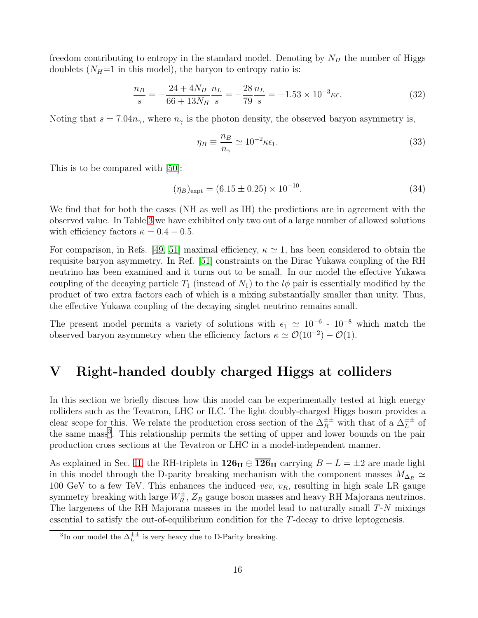freedom contributing to entropy in the standard model. Denoting by  $N_H$  the number of Higgs doublets  $(N_H=1$  in this model), the baryon to entropy ratio is:

$$
\frac{n_B}{s} = -\frac{24 + 4N_H}{66 + 13N_H} \frac{n_L}{s} = -\frac{28}{79} \frac{n_L}{s} = -1.53 \times 10^{-3} \kappa \epsilon.
$$
 (32)

Noting that  $s = 7.04n_{\gamma}$ , where  $n_{\gamma}$  is the photon density, the observed baryon asymmetry is,

$$
\eta_B \equiv \frac{n_B}{n_\gamma} \simeq 10^{-2} \kappa \epsilon_1. \tag{33}
$$

This is to be compared with [\[50\]](#page-23-4):

$$
(\eta_B)_{\text{expt}} = (6.15 \pm 0.25) \times 10^{-10}.
$$
\n(34)

We find that for both the cases (NH as well as IH) the predictions are in agreement with the observed value. In Table [3](#page-14-0) we have exhibited only two out of a large number of allowed solutions with efficiency factors  $\kappa = 0.4 - 0.5$ .

For comparison, in Refs. [\[49,](#page-23-3) [51\]](#page-23-5) maximal efficiency,  $\kappa \simeq 1$ , has been considered to obtain the requisite baryon asymmetry. In Ref. [\[51\]](#page-23-5) constraints on the Dirac Yukawa coupling of the RH neutrino has been examined and it turns out to be small. In our model the effective Yukawa coupling of the decaying particle  $T_1$  (instead of  $N_1$ ) to the  $l\phi$  pair is essentially modified by the product of two extra factors each of which is a mixing substantially smaller than unity. Thus, the effective Yukawa coupling of the decaying singlet neutrino remains small.

The present model permits a variety of solutions with  $\epsilon_1 \simeq 10^{-6}$  -  $10^{-8}$  which match the observed baryon asymmetry when the efficiency factors  $\kappa \simeq \mathcal{O}(10^{-2}) - \mathcal{O}(1)$ .

### V Right-handed doubly charged Higgs at colliders

In this section we briefly discuss how this model can be experimentally tested at high energy colliders such as the Tevatron, LHC or ILC. The light doubly-charged Higgs boson provides a clear scope for this. We relate the production cross section of the  $\Delta_R^{\pm\pm}$  with that of a  $\Delta_L^{\pm\pm}$  of the same mass<sup>[3](#page-15-0)</sup>. This relationship permits the setting of upper and lower bounds on the pair production cross sections at the Tevatron or LHC in a model-independent manner.

As explained in Sec. [II,](#page-3-1) the RH-triplets in  $126_H \oplus \overline{126}_H$  carrying  $B - L = \pm 2$  are made light in this model through the D-parity breaking mechanism with the component masses  $M_{\Delta_R} \simeq$ 100 GeV to a few TeV. This enhances the induced vev,  $v_R$ , resulting in high scale LR gauge symmetry breaking with large  $W_R^{\pm}$ ,  $Z_R$  gauge boson masses and heavy RH Majorana neutrinos. The largeness of the RH Majorana masses in the model lead to naturally small T-N mixings essential to satisfy the out-of-equilibrium condition for the T-decay to drive leptogenesis.

<span id="page-15-0"></span><sup>&</sup>lt;sup>3</sup>In our model the  $\Delta_L^{\pm\pm}$  is very heavy due to D-Parity breaking.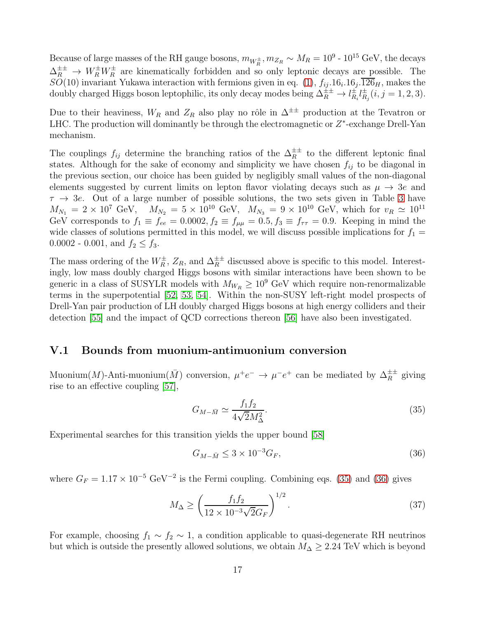Because of large masses of the RH gauge bosons,  $m_{W_R^{\pm}}$ ,  $m_{Z_R} \sim M_R = 10^9$  -  $10^{15}$  GeV, the decays  $\Delta_R^{\pm\pm} \to W_R^{\pm} W_R^{\pm}$  are kinematically forbidden and so only leptonic decays are possible. The  $SO(10)$  invariant Yukawa interaction with fermions given in eq.  $(1)$ ,  $f_{ij}.16_i.16_j.126_H$ , makes the doubly charged Higgs boson leptophilic, its only decay modes being  $\Delta_R^{\pm \pm} \to l_R^{\pm}$  $_{R_i}^{\pm}l_R^{\pm}$  $_{R_j}^{\pm}(i,j=1,2,3).$ 

Due to their heaviness,  $W_R$  and  $Z_R$  also play no rôle in  $\Delta^{\pm\pm}$  production at the Tevatron or LHC. The production will dominantly be through the electromagnetic or  $Z^*$ -exchange Drell-Yan mechanism.

The couplings  $f_{ij}$  determine the branching ratios of the  $\Delta_R^{\pm\pm}$  to the different leptonic final states. Although for the sake of economy and simplicity we have chosen  $f_{ij}$  to be diagonal in the previous section, our choice has been guided by negligibly small values of the non-diagonal elements suggested by current limits on lepton flavor violating decays such as  $\mu \to 3e$  and  $\tau \rightarrow 3e$  $\tau \rightarrow 3e$  $\tau \rightarrow 3e$ . Out of a large number of possible solutions, the two sets given in Table 3 have  $M_{N_1} = 2 \times 10^7$  GeV,  $M_{N_2} = 5 \times 10^{10}$  GeV,  $M_{N_3} = 9 \times 10^{10}$  GeV, which for  $v_R \simeq 10^{11}$ GeV corresponds to  $f_1 \equiv f_{ee} = 0.0002, f_2 \equiv f_{\mu\mu} = 0.5, f_3 \equiv f_{\tau\tau} = 0.9$ . Keeping in mind the wide classes of solutions permitted in this model, we will discuss possible implications for  $f_1 =$ 0.0002 - 0.001, and  $f_2 \leq f_3$ .

The mass ordering of the  $W_R^{\pm}$ ,  $Z_R$ , and  $\Delta_R^{\pm\pm}$  discussed above is specific to this model. Interestingly, low mass doubly charged Higgs bosons with similar interactions have been shown to be generic in a class of SUSYLR models with  $M_{W_R} \geq 10^9$  GeV which require non-renormalizable terms in the superpotential [\[52,](#page-23-6) [53,](#page-23-7) [54\]](#page-23-8). Within the non-SUSY left-right model prospects of Drell-Yan pair production of LH doubly charged Higgs bosons at high energy colliders and their detection [\[55\]](#page-23-9) and the impact of QCD corrections thereon [\[56\]](#page-23-10) have also been investigated.

#### V.1 Bounds from muonium-antimuonium conversion

Muonium(M)-Anti-muonium( $\overline{M}$ ) conversion,  $\mu^+e^- \to \mu^-e^+$  can be mediated by  $\Delta_R^{\pm\pm}$  giving rise to an effective coupling [\[57\]](#page-23-11),

<span id="page-16-0"></span>
$$
G_{M-\bar{M}} \simeq \frac{f_1 f_2}{4\sqrt{2}M_{\Delta}^2}.\tag{35}
$$

Experimental searches for this transition yields the upper bound [\[58\]](#page-23-12)

<span id="page-16-1"></span>
$$
G_{M-\bar{M}} \leq 3 \times 10^{-3} G_F,\tag{36}
$$

where  $G_F = 1.17 \times 10^{-5} \text{ GeV}^{-2}$  is the Fermi coupling. Combining eqs. [\(35\)](#page-16-0) and [\(36\)](#page-16-1) gives

$$
M_{\Delta} \ge \left(\frac{f_1 f_2}{12 \times 10^{-3} \sqrt{2} G_F}\right)^{1/2}.
$$
\n(37)

For example, choosing  $f_1 \sim f_2 \sim 1$ , a condition applicable to quasi-degenerate RH neutrinos but which is outside the presently allowed solutions, we obtain  $M_{\Delta} \geq 2.24$  TeV which is beyond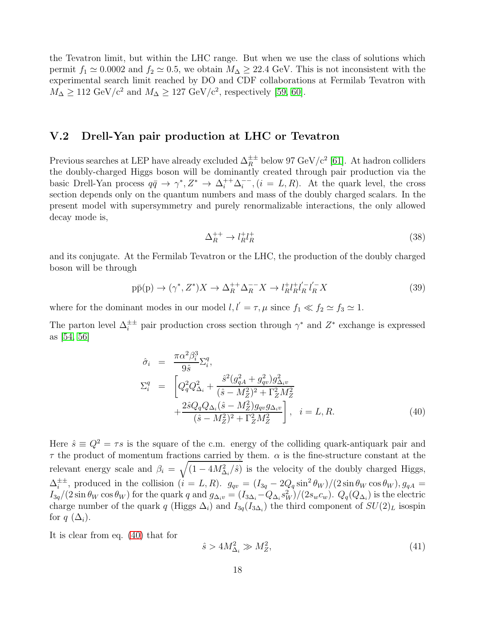the Tevatron limit, but within the LHC range. But when we use the class of solutions which permit  $f_1 \simeq 0.0002$  and  $f_2 \simeq 0.5$ , we obtain  $M_{\Delta} \geq 22.4$  GeV. This is not inconsistent with the experimental search limit reached by DO and CDF collaborations at Fermilab Tevatron with  $M_{\Delta} \geq 112 \text{ GeV}/c^2$  and  $M_{\Delta} \geq 127 \text{ GeV}/c^2$ , respectively [\[59,](#page-23-13) [60\]](#page-23-14).

### <span id="page-17-1"></span>V.2 Drell-Yan pair production at LHC or Tevatron

Previous searches at LEP have already excluded  $\Delta_R^{\pm\pm}$  below 97 GeV/c<sup>2</sup> [\[61\]](#page-23-15). At hadron colliders the doubly-charged Higgs boson will be dominantly created through pair production via the basic Drell-Yan process  $q\bar{q} \to \gamma^*, Z^* \to \Delta_i^{++} \Delta_i^{--}$  $i^{\text{-} -}$ ,  $(i = L, R)$ . At the quark level, the cross section depends only on the quantum numbers and mass of the doubly charged scalars. In the present model with supersymmetry and purely renormalizable interactions, the only allowed decay mode is,

$$
\Delta_R^{++} \to l_R^+ l_R^+ \tag{38}
$$

and its conjugate. At the Fermilab Tevatron or the LHC, the production of the doubly charged boson will be through

$$
p\bar{p}(p) \to (\gamma^*, Z^*)X \to \Delta_R^{++} \Delta_R^{--} X \to l_R^+ l_R^+ l_R^{--} l_R^{--} X \tag{39}
$$

where for the dominant modes in our model  $l, l' = \tau, \mu$  since  $f_1 \ll f_2 \simeq f_3 \simeq 1$ .

The parton level  $\Delta_i^{\pm \pm}$  pair production cross section through  $\gamma^*$  and  $Z^*$  exchange is expressed as [\[54,](#page-23-8) [56\]](#page-23-10)

<span id="page-17-0"></span>
$$
\hat{\sigma}_{i} = \frac{\pi \alpha^{2} \beta_{i}^{3}}{9 \hat{s}} \Sigma_{i}^{q}, \n\Sigma_{i}^{q} = \left[ Q_{q}^{2} Q_{\Delta_{i}}^{2} + \frac{\hat{s}^{2} (g_{qA}^{2} + g_{qv}^{2}) g_{\Delta_{i}v}^{2}}{(\hat{s} - M_{Z}^{2})^{2} + \Gamma_{Z}^{2} M_{Z}^{2}} + \frac{2 \hat{s} Q_{q} Q_{\Delta_{i}} (\hat{s} - M_{Z}^{2}) g_{qv} g_{\Delta_{i}v}}{(\hat{s} - M_{Z}^{2})^{2} + \Gamma_{Z}^{2} M_{Z}^{2}} \right], \quad i = L, R.
$$
\n(40)

Here  $\hat{s} \equiv Q^2 = \tau s$  is the square of the c.m. energy of the colliding quark-antiquark pair and  $\tau$  the product of momentum fractions carried by them.  $\alpha$  is the fine-structure constant at the relevant energy scale and  $\beta_i = \sqrt{(1 - 4M_{\Delta_i}^2/\hat{s})}$  is the velocity of the doubly charged Higgs,  $\Delta_i^{\pm\pm}$ <sup> $\pm\pm$ </sup>, produced in the collision  $(i = L, R)$ .  $g_{qv} = (I_{3q} - 2Q_q \sin^2 \theta_W)/(2 \sin \theta_W \cos \theta_W)$ ,  $g_{qA} =$  $I_{3q}/(2\sin\theta_W\cos\theta_W)$  for the quark q and  $g_{\Delta_i v} = (I_{3\Delta_i}-Q_{\Delta_i}s_W^2)/(2s_wc_w)$ .  $Q_q(Q_{\Delta_i})$  is the electric charge number of the quark q (Higgs  $\Delta_i$ ) and  $I_{3q}(I_{3\Delta_i})$  the third component of  $SU(2)_L$  isospin for  $q$  ( $\Delta_i$ ).

It is clear from eq. [\(40\)](#page-17-0) that for

$$
\hat{s} > 4M_{\Delta_i}^2 \gg M_Z^2,\tag{41}
$$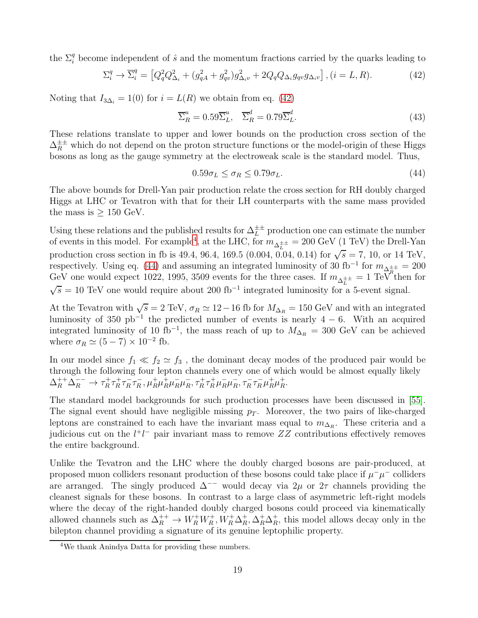the  $\Sigma_i^q$  become independent of  $\hat{s}$  and the momentum fractions carried by the quarks leading to

<span id="page-18-0"></span>
$$
\Sigma_i^q \to \overline{\Sigma}_i^q = \left[ Q_q^2 Q_{\Delta_i}^2 + (g_{qA}^2 + g_{qv}^2) g_{\Delta_i v}^2 + 2Q_q Q_{\Delta_i} g_{qv} g_{\Delta_i v} \right], (i = L, R). \tag{42}
$$

Noting that  $I_{3\Delta_i} = 1(0)$  for  $i = L(R)$  we obtain from eq. [\(42\)](#page-18-0)

$$
\overline{\Sigma}_R^u = 0.59 \overline{\Sigma}_L^u, \quad \overline{\Sigma}_R^d = 0.79 \overline{\Sigma}_L^d.
$$
\n(43)

These relations translate to upper and lower bounds on the production cross section of the  $\Delta_R^{\pm\pm}$  which do not depend on the proton structure functions or the model-origin of these Higgs bosons as long as the gauge symmetry at the electroweak scale is the standard model. Thus,

<span id="page-18-2"></span>
$$
0.59\sigma_L \le \sigma_R \le 0.79\sigma_L. \tag{44}
$$

The above bounds for Drell-Yan pair production relate the cross section for RH doubly charged Higgs at LHC or Tevatron with that for their LH counterparts with the same mass provided the mass is  $\geq 150$  GeV.

Using these relations and the published results for  $\Delta_L^{\pm\pm}$  production one can estimate the number of events in this model. For example<sup>[4](#page-18-1)</sup>, at the LHC, for  $m_{\Delta_L^{\pm \pm}} = 200$  GeV (1 TeV) the Drell-Yan production cross section in fb is 49.4, 96.4, 169.5 (0.004, 0.04, 0.14) for  $\sqrt{s} = 7$ , 10, or 14 TeV, respectively. Using eq. [\(44\)](#page-18-2) and assuming an integrated luminosity of 30 fb<sup>-1</sup> for  $m_{\Delta_E^{\pm \pm}} = 200$ GeV one would expect 1022, 1995, 3509 events for the three cases. If  $m_{\Delta_L^{\pm \pm}} = 1 \text{ TeV}^{\pi}$  then for  $\sqrt{s} = 10$  TeV one would require about 200 fb<sup>-1</sup> integrated luminosity for a 5-event signal.

At the Tevatron with  $\sqrt{s} = 2 \text{ TeV}$ ,  $\sigma_R \simeq 12 - 16 \text{ fb}$  for  $M_{\Delta_R} = 150 \text{ GeV}$  and with an integrated luminosity of 350 pb<sup>-1</sup> the predicted number of events is nearly  $4 - 6$ . With an acquired integrated luminosity of 10 fb<sup>-1</sup>, the mass reach of up to  $M_{\Delta_R} = 300$  GeV can be achieved where  $\sigma_R \simeq (5-7) \times 10^{-2}$  fb.

In our model since  $f_1 \ll f_2 \simeq f_3$ , the dominant decay modes of the produced pair would be through the following four lepton channels every one of which would be almost equally likely  $\Delta_R^{++}\Delta_R^{--} \to \tau_R^+$  $\frac{1}{R} \tau_R^+$  $\frac{1}{R} \tau_R^ \overline{R}$   $\tau_R^ \overline{R}$ ,  $\mu_R^+ \mu_R^- \mu_R^- \mu_R^ \bar{R}$ ,  $\tau_R^+ \tau_R^+ \mu_R^- \mu_R^ \overline{R}$ ,  $\tau_R^- \tau_R^- \mu_R^+ \mu_R^+$  $^+_R$ .

The standard model backgrounds for such production processes have been discussed in [\[55\]](#page-23-9). The signal event should have negligible missing  $p<sub>T</sub>$ . Moreover, the two pairs of like-charged leptons are constrained to each have the invariant mass equal to  $m_{\Delta_R}$ . These criteria and a judicious cut on the  $l^+l^-$  pair invariant mass to remove  $ZZ$  contributions effectively removes the entire background.

Unlike the Tevatron and the LHC where the doubly charged bosons are pair-produced, at proposed muon colliders resonant production of these bosons could take place if  $\mu^{-}\mu^{-}$  colliders are arranged. The singly produced  $\Delta^{−}$  would decay via  $2\mu$  or  $2\tau$  channels providing the cleanest signals for these bosons. In contrast to a large class of asymmetric left-right models where the decay of the right-handed doubly charged bosons could proceed via kinematically allowed channels such as  $\Delta_R^{++} \to W_R^+ W_R^+, W_R^+ \Delta_R^+$  $R^+$ ,  $\Delta_R^+ \Delta_R^+$  $R<sub>R</sub>$ , this model allows decay only in the bilepton channel providing a signature of its genuine leptophilic property.

<span id="page-18-1"></span><sup>4</sup>We thank Anindya Datta for providing these numbers.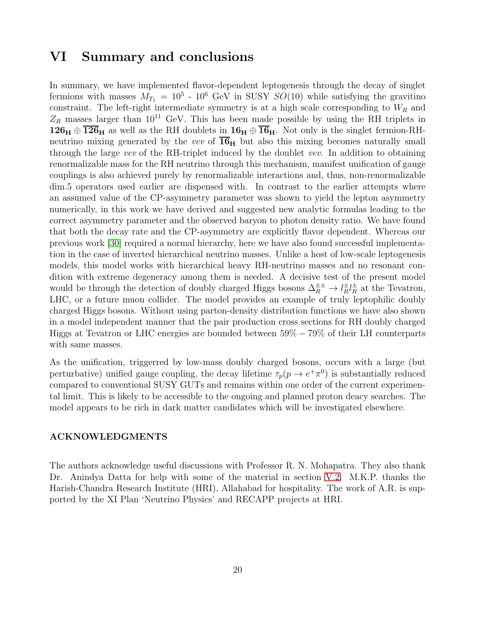### VI Summary and conclusions

In summary, we have implemented flavor-dependent leptogenesis through the decay of singlet fermions with masses  $M_{T_1} = 10^5$  -  $10^6$  GeV in SUSY  $SO(10)$  while satisfying the gravitino constraint. The left-right intermediate symmetry is at a high scale corresponding to  $W_R$  and  $Z_R$  masses larger than 10<sup>11</sup> GeV. This has been made possible by using the RH triplets in  $126_H \oplus \overline{126}_H$  as well as the RH doublets in  $16_H \oplus \overline{16}_H$ . Not only is the singlet fermion-RHneutrino mixing generated by the vev of  $16<sub>H</sub>$  but also this mixing becomes naturally small through the large vev of the RH-triplet induced by the doublet vev. In addition to obtaining renormalizable mass for the RH neutrino through this mechanism, manifest unification of gauge couplings is also achieved purely by renormalizable interactions and, thus, non-renormalizable dim.5 operators used earlier are dispensed with. In contrast to the earlier attempts where an assumed value of the CP-asymmetry parameter was shown to yield the lepton asymmetry numerically, in this work we have derived and suggested new analytic formulas leading to the correct asymmetry parameter and the observed baryon to photon density ratio. We have found that both the decay rate and the CP-asymmetry are explicitly flavor dependent. Whereas our previous work [\[30\]](#page-22-0) required a normal hierarchy, here we have also found successful implementation in the case of inverted hierarchical neutrino masses. Unlike a host of low-scale leptogenesis models, this model works with hierarchical heavy RH-neutrino masses and no resonant condition with extreme degeneracy among them is needed. A decisive test of the present model would be through the detection of doubly charged Higgs bosons  $\Delta_R^{\pm \pm} \to l_R^{\pm}$  $\frac{\pm}{R}l_{R}^{\pm}$  $\frac{1}{R}$  at the Tevatron, LHC, or a future muon collider. The model provides an example of truly leptophilic doubly charged Higgs bosons. Without using parton-density distribution functions we have also shown in a model independent manner that the pair production cross sections for RH doubly charged Higgs at Tevatron or LHC energies are bounded between 59% − 79% of their LH counterparts with same masses.

As the unification, triggerred by low-mass doubly charged bosons, occurs with a large (but perturbative) unified gauge coupling, the decay lifetime  $\tau_p(p \to e^+ \pi^0)$  is substantially reduced compared to conventional SUSY GUTs and remains within one order of the current experimental limit. This is likely to be accessible to the ongoing and planned proton deacy searches. The model appears to be rich in dark matter candidates which will be investigated elsewhere.

#### ACKNOWLEDGMENTS

The authors acknowledge useful discussions with Professor R. N. Mohapatra. They also thank Dr. Anindya Datta for help with some of the material in section [V.2.](#page-17-1) M.K.P. thanks the Harish-Chandra Research Institute (HRI), Allahabad for hospitality. The work of A.R. is supported by the XI Plan 'Neutrino Physics' and RECAPP projects at HRI.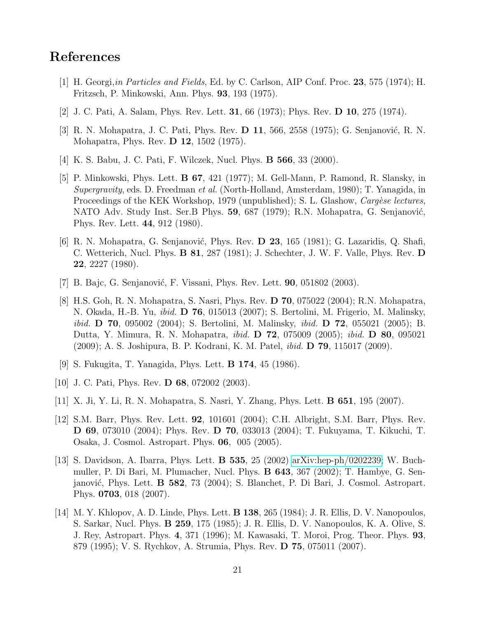# <span id="page-20-0"></span>References

- <span id="page-20-1"></span>[1] H. Georgi,in Particles and Fields, Ed. by C. Carlson, AIP Conf. Proc. 23, 575 (1974); H. Fritzsch, P. Minkowski, Ann. Phys. 93, 193 (1975).
- <span id="page-20-2"></span>[2] J. C. Pati, A. Salam, Phys. Rev. Lett. 31, 66 (1973); Phys. Rev. D 10, 275 (1974).
- <span id="page-20-3"></span>[3] R. N. Mohapatra, J. C. Pati, Phys. Rev. **D 11**, 566, 2558 (1975); G. Senjanović, R. N. Mohapatra, Phys. Rev. D 12, 1502 (1975).
- <span id="page-20-4"></span>[4] K. S. Babu, J. C. Pati, F. Wilczek, Nucl. Phys. B 566, 33 (2000).
- [5] P. Minkowski, Phys. Lett. B 67, 421 (1977); M. Gell-Mann, P. Ramond, R. Slansky, in Supergravity, eds. D. Freedman et al. (North-Holland, Amsterdam, 1980); T. Yanagida, in Proceedings of the KEK Workshop, 1979 (unpublished); S. L. Glashow, *Cargèse lectures*, NATO Adv. Study Inst. Ser.B Phys. 59, 687 (1979); R.N. Mohapatra, G. Senjanović, Phys. Rev. Lett. 44, 912 (1980).
- <span id="page-20-5"></span>[6] R. N. Mohapatra, G. Senjanović, Phys. Rev. **D 23**, 165 (1981); G. Lazaridis, Q. Shafi, C. Wetterich, Nucl. Phys. B 81, 287 (1981); J. Schechter, J. W. F. Valle, Phys. Rev. D 22, 2227 (1980).
- <span id="page-20-7"></span><span id="page-20-6"></span>[7] B. Bajc, G. Senjanović, F. Vissani, Phys. Rev. Lett.  $90, 051802$  (2003).
- [8] H.S. Goh, R. N. Mohapatra, S. Nasri, Phys. Rev. D 70, 075022 (2004); R.N. Mohapatra, N. Okada, H.-B. Yu, ibid. D 76, 015013 (2007); S. Bertolini, M. Frigerio, M. Malinsky, ibid. D 70, 095002 (2004); S. Bertolini, M. Malinsky, ibid. D 72, 055021 (2005); B. Dutta, Y. Mimura, R. N. Mohapatra, ibid. D 72, 075009 (2005); ibid. D 80, 095021 (2009); A. S. Joshipura, B. P. Kodrani, K. M. Patel, ibid. D 79, 115017 (2009).
- <span id="page-20-9"></span><span id="page-20-8"></span>[9] S. Fukugita, T. Yanagida, Phys. Lett. B 174, 45 (1986).
- <span id="page-20-10"></span>[10] J. C. Pati, Phys. Rev. **D 68**, 072002 (2003).
- <span id="page-20-11"></span>[11] X. Ji, Y. Li, R. N. Mohapatra, S. Nasri, Y. Zhang, Phys. Lett. B 651, 195 (2007).
- [12] S.M. Barr, Phys. Rev. Lett. 92, 101601 (2004); C.H. Albright, S.M. Barr, Phys. Rev. D 69, 073010 (2004); Phys. Rev. D 70, 033013 (2004); T. Fukuyama, T. Kikuchi, T. Osaka, J. Cosmol. Astropart. Phys. 06, 005 (2005).
- <span id="page-20-12"></span>[13] S. Davidson, A. Ibarra, Phys. Lett. B 535, 25 (2002) [arXiv:hep-ph/0202239;](http://arxiv.org/abs/hep-ph/0202239) W. Buchmuller, P. Di Bari, M. Plumacher, Nucl. Phys. B 643, 367 (2002); T. Hambye, G. Senjanović, Phys. Lett.  $\bf{B}$  582, 73 (2004); S. Blanchet, P. Di Bari, J. Cosmol. Astropart. Phys. 0703, 018 (2007).
- <span id="page-20-13"></span>[14] M. Y. Khlopov, A. D. Linde, Phys. Lett. B 138, 265 (1984); J. R. Ellis, D. V. Nanopoulos, S. Sarkar, Nucl. Phys. B 259, 175 (1985); J. R. Ellis, D. V. Nanopoulos, K. A. Olive, S. J. Rey, Astropart. Phys. 4, 371 (1996); M. Kawasaki, T. Moroi, Prog. Theor. Phys. 93, 879 (1995); V. S. Rychkov, A. Strumia, Phys. Rev. D 75, 075011 (2007).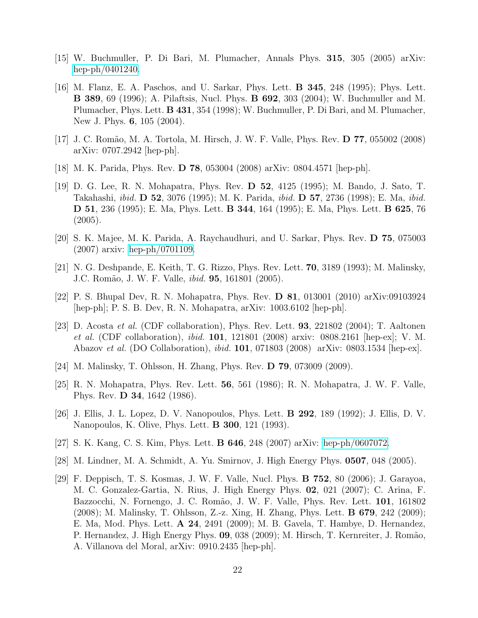- <span id="page-21-1"></span><span id="page-21-0"></span>[15] W. Buchmuller, P. Di Bari, M. Plumacher, Annals Phys. 315, 305 (2005) arXiv: [hep-ph/0401240.](http://arxiv.org/abs/hep-ph/0401240)
- [16] M. Flanz, E. A. Paschos, and U. Sarkar, Phys. Lett. B 345, 248 (1995); Phys. Lett. B 389, 69 (1996); A. Pilaftsis, Nucl. Phys. B 692, 303 (2004); W. Buchmuller and M. Plumacher, Phys. Lett. B 431, 354 (1998); W. Buchmuller, P. Di Bari, and M. Plumacher, New J. Phys. 6, 105 (2004).
- <span id="page-21-3"></span><span id="page-21-2"></span>[17] J. C. Romão, M. A. Tortola, M. Hirsch, J. W. F. Valle, Phys. Rev. **D 77**, 055002 (2008) arXiv: 0707.2942 [hep-ph].
- <span id="page-21-4"></span>[18] M. K. Parida, Phys. Rev. D 78, 053004 (2008) arXiv: 0804.4571 [hep-ph].
- [19] D. G. Lee, R. N. Mohapatra, Phys. Rev. D 52, 4125 (1995); M. Bando, J. Sato, T. Takahashi, ibid. D 52, 3076 (1995); M. K. Parida, ibid. D 57, 2736 (1998); E. Ma, ibid. D 51, 236 (1995); E. Ma, Phys. Lett. B 344, 164 (1995); E. Ma, Phys. Lett. B 625, 76 (2005).
- <span id="page-21-6"></span><span id="page-21-5"></span>[20] S. K. Majee, M. K. Parida, A. Raychaudhuri, and U. Sarkar, Phys. Rev. D 75, 075003 (2007) arxiv: [hep-ph/0701109.](http://arxiv.org/abs/hep-ph/0701109)
- <span id="page-21-7"></span>[21] N. G. Deshpande, E. Keith, T. G. Rizzo, Phys. Rev. Lett. 70, 3189 (1993); M. Malinsky, J.C. Romão, J. W. F. Valle, *ibid.* **95**, 161801 (2005).
- <span id="page-21-8"></span>[22] P. S. Bhupal Dev, R. N. Mohapatra, Phys. Rev. D 81, 013001 (2010) arXiv:09103924 [hep-ph]; P. S. B. Dev, R. N. Mohapatra, arXiv: 1003.6102 [hep-ph].
- [23] D. Acosta et al. (CDF collaboration), Phys. Rev. Lett. 93, 221802 (2004); T. Aaltonen et al. (CDF collaboration), ibid. 101, 121801 (2008) arxiv: 0808.2161 [hep-ex]; V. M. Abazov et al. (DO Collaboration), ibid. 101, 071803 (2008) arXiv: 0803.1534 [hep-ex].
- <span id="page-21-10"></span><span id="page-21-9"></span>[24] M. Malinsky, T. Ohlsson, H. Zhang, Phys. Rev. D 79, 073009 (2009).
- <span id="page-21-11"></span>[25] R. N. Mohapatra, Phys. Rev. Lett.  $56, 561$  (1986); R. N. Mohapatra, J. W. F. Valle, Phys. Rev. D 34, 1642 (1986).
- [26] J. Ellis, J. L. Lopez, D. V. Nanopoulos, Phys. Lett. B 292, 189 (1992); J. Ellis, D. V. Nanopoulos, K. Olive, Phys. Lett. B 300, 121 (1993).
- <span id="page-21-13"></span><span id="page-21-12"></span>[27] S. K. Kang, C. S. Kim, Phys. Lett. B 646, 248 (2007) arXiv: [hep-ph/0607072.](http://arxiv.org/abs/hep-ph/0607072)
- <span id="page-21-14"></span>[28] M. Lindner, M. A. Schmidt, A. Yu. Smirnov, J. High Energy Phys. 0507, 048 (2005).
- [29] F. Deppisch, T. S. Kosmas, J. W. F. Valle, Nucl. Phys. B 752, 80 (2006); J. Garayoa, M. C. Gonzalez-Gartia, N. Rius, J. High Energy Phys. 02, 021 (2007); C. Arina, F. Bazzocchi, N. Fornengo, J. C. Romão, J. W. F. Valle, Phys. Rev. Lett. 101, 161802 (2008); M. Malinsky, T. Ohlsson, Z.-z. Xing, H. Zhang, Phys. Lett. B 679, 242 (2009); E. Ma, Mod. Phys. Lett. A 24, 2491 (2009); M. B. Gavela, T. Hambye, D. Hernandez, P. Hernandez, J. High Energy Phys. 09, 038 (2009); M. Hirsch, T. Kernreiter, J. Romão, A. Villanova del Moral, arXiv: 0910.2435 [hep-ph].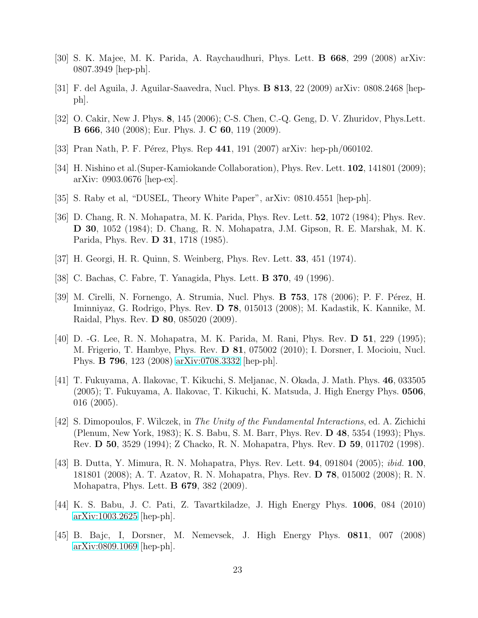- <span id="page-22-1"></span><span id="page-22-0"></span>[30] S. K. Majee, M. K. Parida, A. Raychaudhuri, Phys. Lett. B 668, 299 (2008) arXiv: 0807.3949 [hep-ph].
- <span id="page-22-2"></span>[31] F. del Aguila, J. Aguilar-Saavedra, Nucl. Phys. B 813, 22 (2009) arXiv: 0808.2468 [hepph].
- <span id="page-22-3"></span>[32] O. Cakir, New J. Phys. 8, 145 (2006); C-S. Chen, C.-Q. Geng, D. V. Zhuridov, Phys.Lett. B 666, 340 (2008); Eur. Phys. J. C 60, 119 (2009).
- <span id="page-22-4"></span>[33] Pran Nath, P. F. Pérez, Phys. Rep  $441$ , 191 (2007) arXiv: hep-ph/060102.
- <span id="page-22-5"></span>[34] H. Nishino et al. (Super-Kamiokande Collaboration), Phys. Rev. Lett. **102**, 141801 (2009); arXiv: 0903.0676 [hep-ex].
- <span id="page-22-6"></span>[35] S. Raby et al, "DUSEL, Theory White Paper", arXiv: 0810.4551 [hep-ph].
- [36] D. Chang, R. N. Mohapatra, M. K. Parida, Phys. Rev. Lett. 52, 1072 (1984); Phys. Rev. D 30, 1052 (1984); D. Chang, R. N. Mohapatra, J.M. Gipson, R. E. Marshak, M. K. Parida, Phys. Rev. D 31, 1718 (1985).
- <span id="page-22-8"></span><span id="page-22-7"></span>[37] H. Georgi, H. R. Quinn, S. Weinberg, Phys. Rev. Lett. 33, 451 (1974).
- <span id="page-22-9"></span>[38] C. Bachas, C. Fabre, T. Yanagida, Phys. Lett. B 370, 49 (1996).
- [39] M. Cirelli, N. Fornengo, A. Strumia, Nucl. Phys. **B 753**, 178 (2006); P. F. Pérez, H. Iminniyaz, G. Rodrigo, Phys. Rev. D 78, 015013 (2008); M. Kadastik, K. Kannike, M. Raidal, Phys. Rev. D 80, 085020 (2009).
- <span id="page-22-10"></span>[40] D. -G. Lee, R. N. Mohapatra, M. K. Parida, M. Rani, Phys. Rev. D 51, 229 (1995); M. Frigerio, T. Hambye, Phys. Rev. D 81, 075002 (2010); I. Dorsner, I. Mocioiu, Nucl. Phys. B 796, 123 (2008) [arXiv:0708.3332](http://arxiv.org/abs/0708.3332) [hep-ph].
- <span id="page-22-11"></span>[41] T. Fukuyama, A. Ilakovac, T. Kikuchi, S. Meljanac, N. Okada, J. Math. Phys. 46, 033505 (2005); T. Fukuyama, A. Ilakovac, T. Kikuchi, K. Matsuda, J. High Energy Phys. 0506, 016 (2005).
- <span id="page-22-12"></span>[42] S. Dimopoulos, F. Wilczek, in The Unity of the Fundamental Interactions, ed. A. Zichichi (Plenum, New York, 1983); K. S. Babu, S. M. Barr, Phys. Rev. D 48, 5354 (1993); Phys. Rev. D 50, 3529 (1994); Z Chacko, R. N. Mohapatra, Phys. Rev. D 59, 011702 (1998).
- <span id="page-22-13"></span>[43] B. Dutta, Y. Mimura, R. N. Mohapatra, Phys. Rev. Lett. 94, 091804 (2005); ibid. 100, 181801 (2008); A. T. Azatov, R. N. Mohapatra, Phys. Rev. D 78, 015002 (2008); R. N. Mohapatra, Phys. Lett. B 679, 382 (2009).
- <span id="page-22-14"></span>[44] K. S. Babu, J. C. Pati, Z. Tavartkiladze, J. High Energy Phys. 1006, 084 (2010) [arXiv:1003.2625](http://arxiv.org/abs/1003.2625) [hep-ph].
- <span id="page-22-15"></span>[45] B. Bajc, I, Dorsner, M. Nemevsek, J. High Energy Phys. 0811, 007 (2008) [arXiv:0809.1069](http://arxiv.org/abs/0809.1069) [hep-ph].